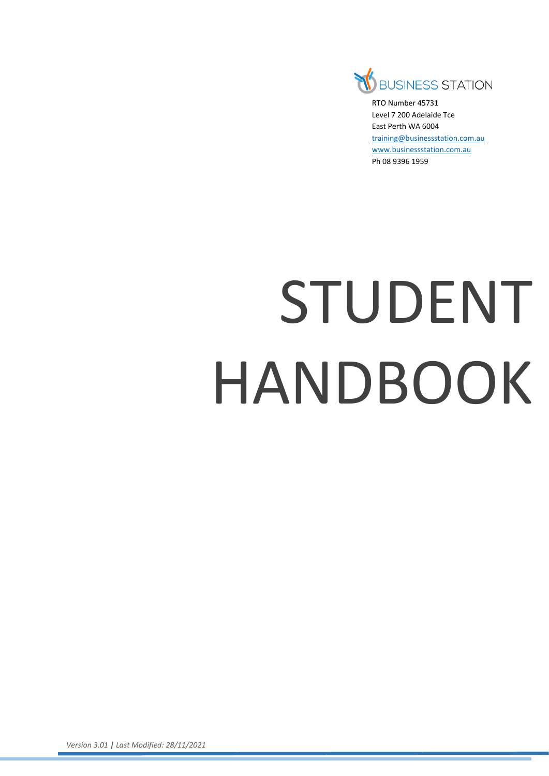

RTO Number 45731 Level 7 200 Adelaide Tce East Perth WA 6004 [training@businessstation.com.au](mailto:training@businessstation.com.au) [www.businessstation.com.au](http://www.businessstation.com.au/) Ph 08 9396 1959

# STUDENT HANDBOOK

*Version 3.01 | Last Modified: 28/11/2021*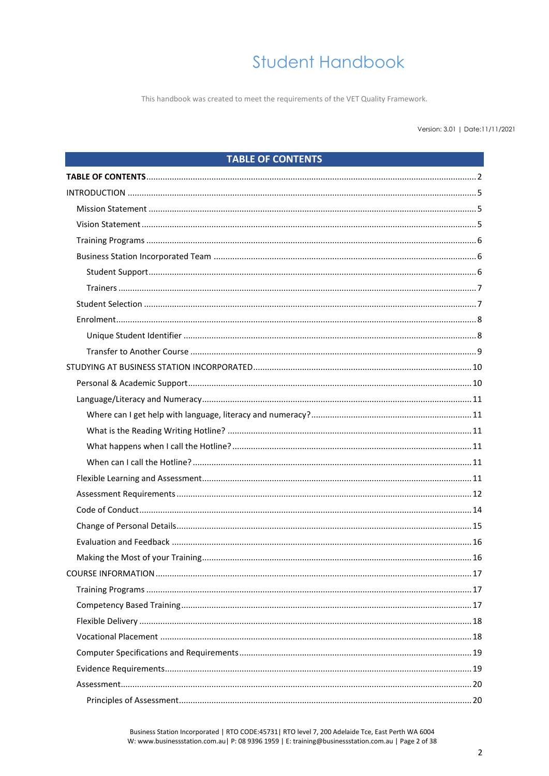This handbook was created to meet the requirements of the VET Quality Framework.

#### Version: 3.01 | Date:11/11/2021

### **TABLE OF CONTENTS**

<span id="page-1-0"></span>

Business Station Incorporated | RTO CODE:45731 | RTO level 7, 200 Adelaide Tce, East Perth WA 6004 W: www.businessstation.com.au| P: 08 9396 1959 | E: training@businessstation.com.au | Page 2 of 38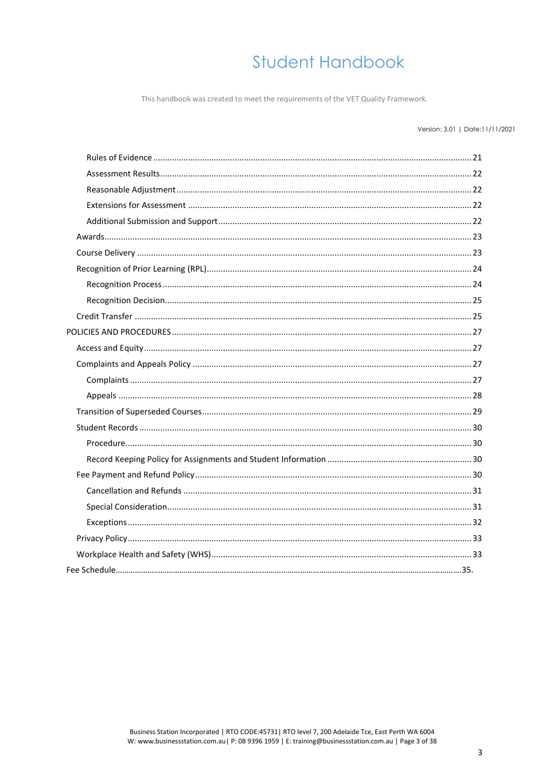This handbook was created to meet the requirements of the VET Quality Framework.

### Version: 3.01 | Date:11/11/2021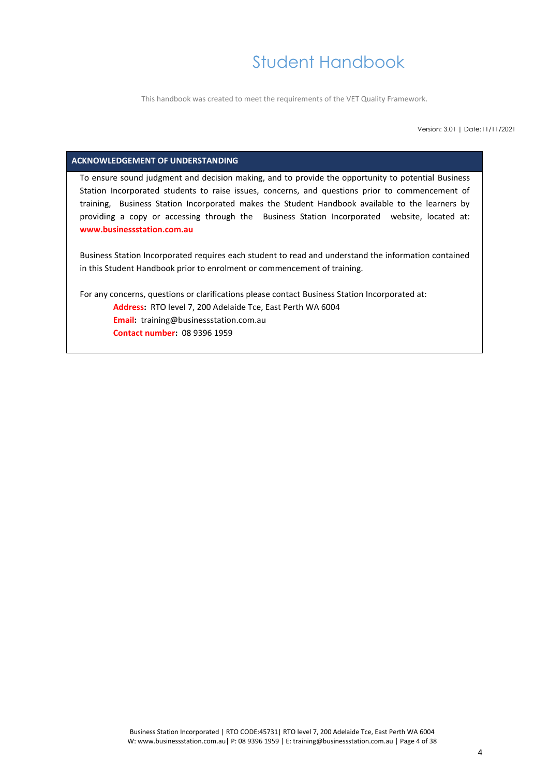This handbook was created to meet the requirements of the VET Quality Framework.

Version: 3.01 | Date:11/11/2021

### **ACKNOWLEDGEMENT OF UNDERSTANDING**

To ensure sound judgment and decision making, and to provide the opportunity to potential Business Station Incorporated students to raise issues, concerns, and questions prior to commencement of training, Business Station Incorporated makes the Student Handbook available to the learners by providing a copy or accessing through the Business Station Incorporated website, located at: **www.businessstation.com.au**

Business Station Incorporated requires each student to read and understand the information contained in this Student Handbook prior to enrolment or commencement of training.

For any concerns, questions or clarifications please contact Business Station Incorporated at: **Address:** RTO level 7, 200 Adelaide Tce, East Perth WA 6004 **Email:** training@businessstation.com.au **Contact number:** 08 9396 1959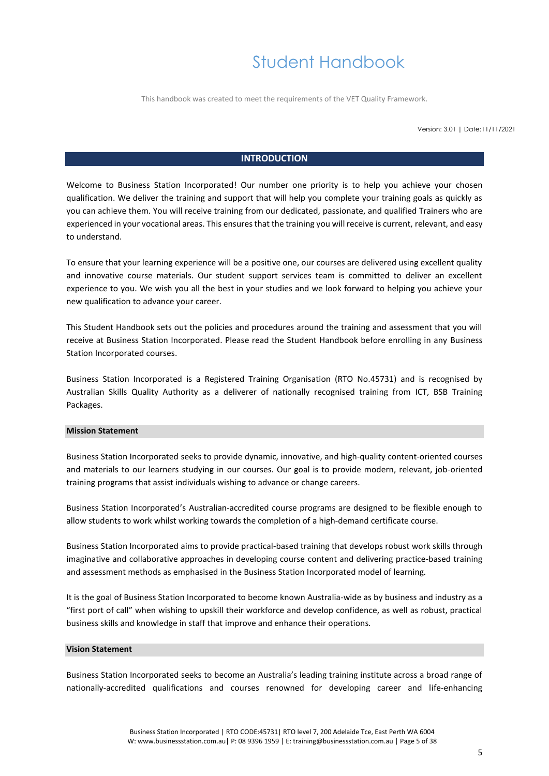This handbook was created to meet the requirements of the VET Quality Framework.

Version: 3.01 | Date:11/11/2021

### **INTRODUCTION**

<span id="page-4-0"></span>Welcome to Business Station Incorporated! Our number one priority is to help you achieve your chosen qualification. We deliver the training and support that will help you complete your training goals as quickly as you can achieve them. You will receive training from our dedicated, passionate, and qualified Trainers who are experienced in your vocational areas. This ensures that the training you will receive is current, relevant, and easy to understand.

To ensure that your learning experience will be a positive one, our courses are delivered using excellent quality and innovative course materials. Our student support services team is committed to deliver an excellent experience to you. We wish you all the best in your studies and we look forward to helping you achieve your new qualification to advance your career.

This Student Handbook sets out the policies and procedures around the training and assessment that you will receive at Business Station Incorporated. Please read the Student Handbook before enrolling in any Business Station Incorporated courses.

Business Station Incorporated is a Registered Training Organisation (RTO No.45731) and is recognised by Australian Skills Quality Authority as a deliverer of nationally recognised training from ICT, BSB Training Packages.

#### <span id="page-4-1"></span>**Mission Statement**

Business Station Incorporated seeks to provide dynamic, innovative, and high-quality content-oriented courses and materials to our learners studying in our courses. Our goal is to provide modern, relevant, job-oriented training programs that assist individuals wishing to advance or change careers.

Business Station Incorporated's Australian-accredited course programs are designed to be flexible enough to allow students to work whilst working towards the completion of a high-demand certificate course.

Business Station Incorporated aims to provide practical-based training that develops robust work skills through imaginative and collaborative approaches in developing course content and delivering practice-based training and assessment methods as emphasised in the Business Station Incorporated model of learning.

It is the goal of Business Station Incorporated to become known Australia-wide as by business and industry as a "first port of call" when wishing to upskill their workforce and develop confidence, as well as robust, practical business skills and knowledge in staff that improve and enhance their operations.

### <span id="page-4-2"></span>**Vision Statement**

Business Station Incorporated seeks to become an Australia's leading training institute across a broad range of nationally-accredited qualifications and courses renowned for developing career and life-enhancing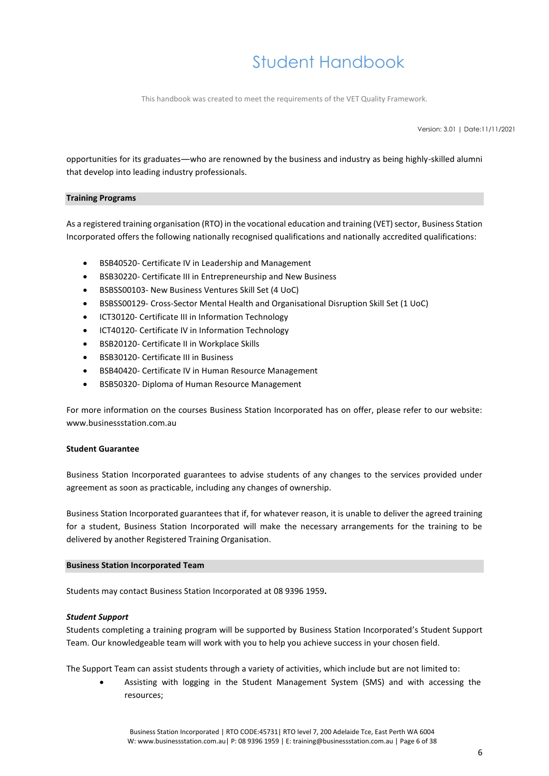This handbook was created to meet the requirements of the VET Quality Framework.

Version: 3.01 | Date:11/11/2021

opportunities for its graduates—who are renowned by the business and industry as being highly-skilled alumni that develop into leading industry professionals.

### <span id="page-5-0"></span>**Training Programs**

As a registered training organisation (RTO) in the vocational education and training (VET) sector, Business Station Incorporated offers the following nationally recognised qualifications and nationally accredited qualifications:

- BSB40520- Certificate IV in Leadership and Management
- BSB30220- Certificate III in Entrepreneurship and New Business
- BSBSS00103- New Business Ventures Skill Set (4 UoC)
- BSBSS00129- Cross-Sector Mental Health and Organisational Disruption Skill Set (1 UoC)
- ICT30120- Certificate III in Information Technology
- ICT40120- Certificate IV in Information Technology
- BSB20120- Certificate II in Workplace Skills
- BSB30120- Certificate III in Business
- BSB40420- Certificate IV in Human Resource Management
- BSB50320- Diploma of Human Resource Management

For more information on the courses Business Station Incorporated has on offer, please refer to our website: www.businessstation.com.au

### **Student Guarantee**

Business Station Incorporated guarantees to advise students of any changes to the services provided under agreement as soon as practicable, including any changes of ownership.

Business Station Incorporated guarantees that if, for whatever reason, it is unable to deliver the agreed training for a student, Business Station Incorporated will make the necessary arrangements for the training to be delivered by another Registered Training Organisation.

#### <span id="page-5-1"></span>**Business Station Incorporated Team**

Students may contact Business Station Incorporated at 08 9396 1959**.**

### <span id="page-5-2"></span>*Student Support*

Students completing a training program will be supported by Business Station Incorporated's Student Support Team. Our knowledgeable team will work with you to help you achieve success in your chosen field.

The Support Team can assist students through a variety of activities, which include but are not limited to:

• Assisting with logging in the Student Management System (SMS) and with accessing the resources;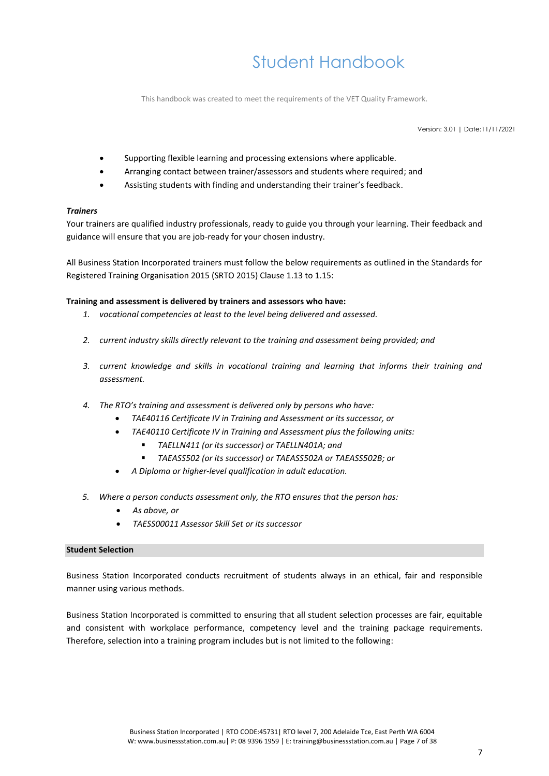This handbook was created to meet the requirements of the VET Quality Framework.

Version: 3.01 | Date:11/11/2021

- Supporting flexible learning and processing extensions where applicable.
- Arranging contact between trainer/assessors and students where required; and
- Assisting students with finding and understanding their trainer's feedback.

### <span id="page-6-0"></span>*Trainers*

Your trainers are qualified industry professionals, ready to guide you through your learning. Their feedback and guidance will ensure that you are job-ready for your chosen industry.

All Business Station Incorporated trainers must follow the below requirements as outlined in the Standards for Registered Training Organisation 2015 (SRTO 2015) Clause 1.13 to 1.15:

### **Training and assessment is delivered by trainers and assessors who have:**

- *1. vocational competencies at least to the level being delivered and assessed.*
- *2. current industry skills directly relevant to the training and assessment being provided; and*
- *3. current knowledge and skills in vocational training and learning that informs their training and assessment.*
- *4. The RTO's training and assessment is delivered only by persons who have:*
	- *TAE40116 Certificate IV in Training and Assessment or its successor, or*
	- *TAE40110 Certificate IV in Training and Assessment plus the following units:*
		- *TAELLN411 (or its successor) or TAELLN401A; and*
		- *TAEASS502 (or its successor) or TAEASS502A or TAEASS502B; or*
	- *A Diploma or higher-level qualification in adult education.*
- *5. Where a person conducts assessment only, the RTO ensures that the person has:*
	- *As above, or*
	- *TAESS00011 Assessor Skill Set or its successor*

### <span id="page-6-1"></span>**Student Selection**

Business Station Incorporated conducts recruitment of students always in an ethical, fair and responsible manner using various methods.

Business Station Incorporated is committed to ensuring that all student selection processes are fair, equitable and consistent with workplace performance, competency level and the training package requirements. Therefore, selection into a training program includes but is not limited to the following: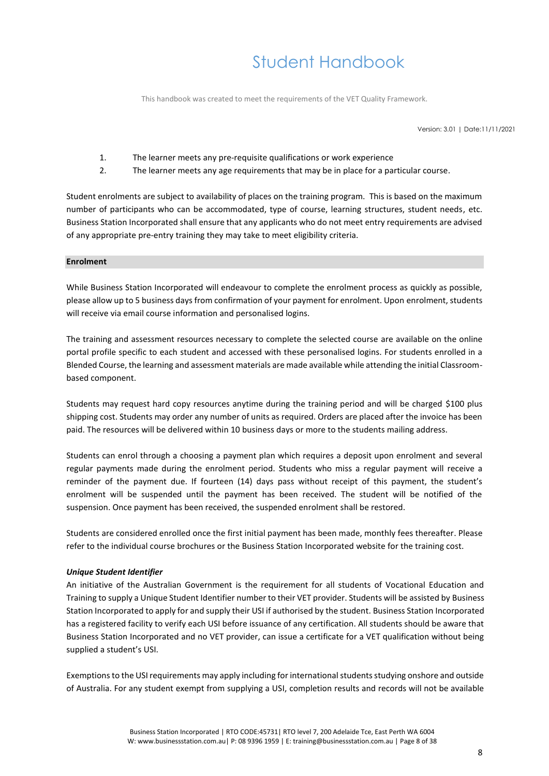This handbook was created to meet the requirements of the VET Quality Framework.

Version: 3.01 | Date:11/11/2021

- 1. The learner meets any pre-requisite qualifications or work experience
- 2. The learner meets any age requirements that may be in place for a particular course.

Student enrolments are subject to availability of places on the training program. This is based on the maximum number of participants who can be accommodated, type of course, learning structures, student needs, etc. Business Station Incorporated shall ensure that any applicants who do not meet entry requirements are advised of any appropriate pre-entry training they may take to meet eligibility criteria.

### <span id="page-7-0"></span>**Enrolment**

While Business Station Incorporated will endeavour to complete the enrolment process as quickly as possible, please allow up to 5 business days from confirmation of your payment for enrolment. Upon enrolment, students will receive via email course information and personalised logins.

The training and assessment resources necessary to complete the selected course are available on the online portal profile specific to each student and accessed with these personalised logins. For students enrolled in a Blended Course, the learning and assessment materials are made available while attending the initial Classroombased component.

Students may request hard copy resources anytime during the training period and will be charged \$100 plus shipping cost. Students may order any number of units as required. Orders are placed after the invoice has been paid. The resources will be delivered within 10 business days or more to the students mailing address.

Students can enrol through a choosing a payment plan which requires a deposit upon enrolment and several regular payments made during the enrolment period. Students who miss a regular payment will receive a reminder of the payment due. If fourteen (14) days pass without receipt of this payment, the student's enrolment will be suspended until the payment has been received. The student will be notified of the suspension. Once payment has been received, the suspended enrolment shall be restored.

Students are considered enrolled once the first initial payment has been made, monthly fees thereafter. Please refer to the individual course brochures or the Business Station Incorporated website for the training cost.

### <span id="page-7-1"></span>*Unique Student Identifier*

An initiative of the Australian Government is the requirement for all students of Vocational Education and Training to supply a Unique Student Identifier number to their VET provider. Students will be assisted by Business Station Incorporated to apply for and supply their USI if authorised by the student. Business Station Incorporated has a registered facility to verify each USI before issuance of any certification. All students should be aware that Business Station Incorporated and no VET provider, can issue a certificate for a VET qualification without being supplied a student's USI.

Exemptions to the USI requirements may apply including for international students studying onshore and outside of Australia. For any student exempt from supplying a USI, completion results and records will not be available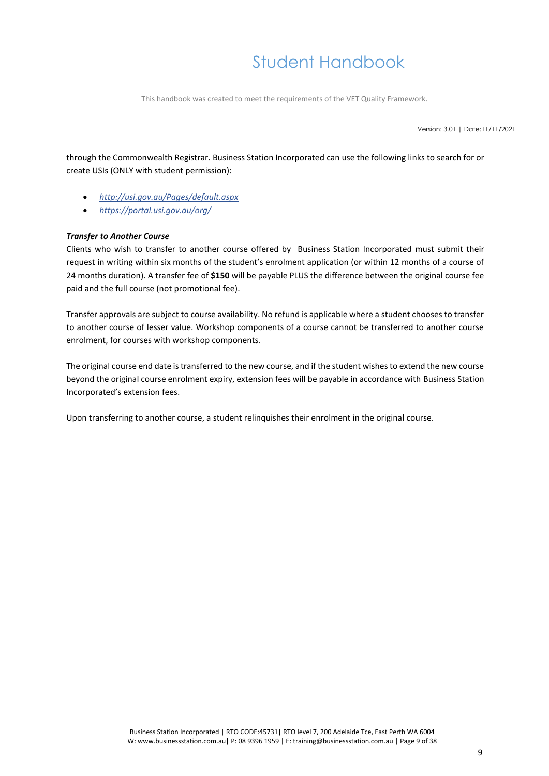This handbook was created to meet the requirements of the VET Quality Framework.

Version: 3.01 | Date:11/11/2021

through the Commonwealth Registrar. Business Station Incorporated can use the following links to search for or create USIs (ONLY with student permission):

- *<http://usi.gov.au/Pages/default.aspx>*
- *<https://portal.usi.gov.au/org/>*

### <span id="page-8-0"></span>*Transfer to Another Course*

Clients who wish to transfer to another course offered by Business Station Incorporated must submit their request in writing within six months of the student's enrolment application (or within 12 months of a course of 24 months duration). A transfer fee of **\$150** will be payable PLUS the difference between the original course fee paid and the full course (not promotional fee).

Transfer approvals are subject to course availability. No refund is applicable where a student chooses to transfer to another course of lesser value. Workshop components of a course cannot be transferred to another course enrolment, for courses with workshop components.

The original course end date is transferred to the new course, and if the student wishes to extend the new course beyond the original course enrolment expiry, extension fees will be payable in accordance with Business Station Incorporated's extension fees.

Upon transferring to another course, a student relinquishes their enrolment in the original course.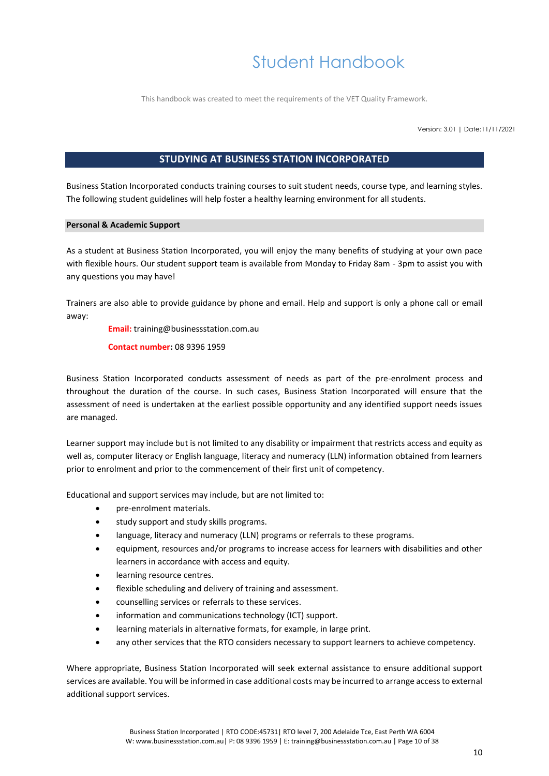This handbook was created to meet the requirements of the VET Quality Framework.

Version: 3.01 | Date:11/11/2021

### **STUDYING AT BUSINESS STATION INCORPORATED**

<span id="page-9-0"></span>Business Station Incorporated conducts training courses to suit student needs, course type, and learning styles. The following student guidelines will help foster a healthy learning environment for all students.

### <span id="page-9-1"></span>**Personal & Academic Support**

As a student at Business Station Incorporated, you will enjoy the many benefits of studying at your own pace with flexible hours. Our student support team is available from Monday to Friday 8am - 3pm to assist you with any questions you may have!

Trainers are also able to provide guidance by phone and email. Help and support is only a phone call or email away:

**Email:** training@businessstation.com.au

**Contact number:** 08 9396 1959

Business Station Incorporated conducts assessment of needs as part of the pre-enrolment process and throughout the duration of the course. In such cases, Business Station Incorporated will ensure that the assessment of need is undertaken at the earliest possible opportunity and any identified support needs issues are managed.

Learner support may include but is not limited to any disability or impairment that restricts access and equity as well as, computer literacy or English language, literacy and numeracy (LLN) information obtained from learners prior to enrolment and prior to the commencement of their first unit of competency.

Educational and support services may include, but are not limited to:

- pre-enrolment materials.
- study support and study skills programs.
- language, literacy and numeracy (LLN) programs or referrals to these programs.
- equipment, resources and/or programs to increase access for learners with disabilities and other learners in accordance with access and equity.
- learning resource centres.
- flexible scheduling and delivery of training and assessment.
- counselling services or referrals to these services.
- information and communications technology (ICT) support.
- learning materials in alternative formats, for example, in large print.
- any other services that the RTO considers necessary to support learners to achieve competency.

Where appropriate, Business Station Incorporated will seek external assistance to ensure additional support services are available. You will be informed in case additional costs may be incurred to arrange access to external additional support services.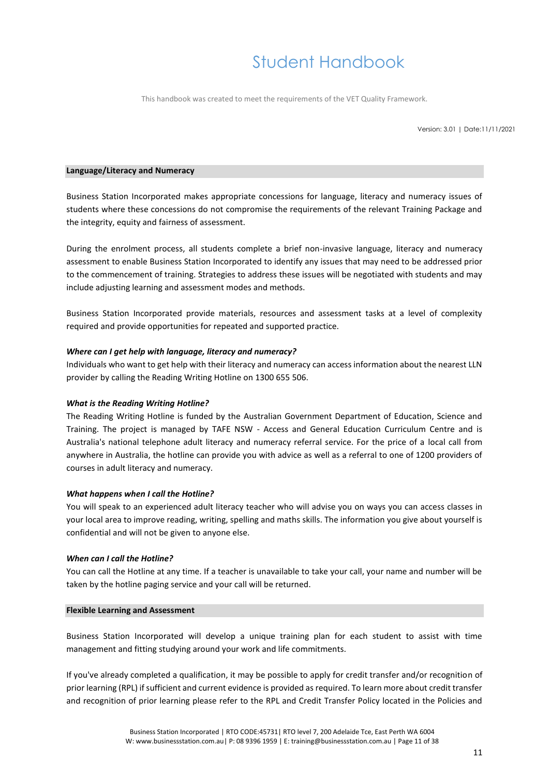This handbook was created to meet the requirements of the VET Quality Framework.

Version: 3.01 | Date:11/11/2021

### <span id="page-10-0"></span>**Language/Literacy and Numeracy**

Business Station Incorporated makes appropriate concessions for language, literacy and numeracy issues of students where these concessions do not compromise the requirements of the relevant Training Package and the integrity, equity and fairness of assessment.

During the enrolment process, all students complete a brief non-invasive language, literacy and numeracy assessment to enable Business Station Incorporated to identify any issues that may need to be addressed prior to the commencement of training. Strategies to address these issues will be negotiated with students and may include adjusting learning and assessment modes and methods.

Business Station Incorporated provide materials, resources and assessment tasks at a level of complexity required and provide opportunities for repeated and supported practice.

### <span id="page-10-1"></span>*Where can I get help with language, literacy and numeracy?*

Individuals who want to get help with their literacy and numeracy can access information about the nearest LLN provider by calling the Reading Writing Hotline on 1300 655 506.

#### <span id="page-10-2"></span>*What is the Reading Writing Hotline?*

The Reading Writing Hotline is funded by the Australian Government Department of Education, Science and Training. The project is managed by TAFE NSW - Access and General Education Curriculum Centre and is Australia's national telephone adult literacy and numeracy referral service. For the price of a local call from anywhere in Australia, the hotline can provide you with advice as well as a referral to one of 1200 providers of courses in adult literacy and numeracy.

#### <span id="page-10-3"></span>*What happens when I call the Hotline?*

You will speak to an experienced adult literacy teacher who will advise you on ways you can access classes in your local area to improve reading, writing, spelling and maths skills. The information you give about yourself is confidential and will not be given to anyone else.

#### <span id="page-10-4"></span>*When can I call the Hotline?*

You can call the Hotline at any time. If a teacher is unavailable to take your call, your name and number will be taken by the hotline paging service and your call will be returned.

#### <span id="page-10-5"></span>**Flexible Learning and Assessment**

Business Station Incorporated will develop a unique training plan for each student to assist with time management and fitting studying around your work and life commitments.

If you've already completed a qualification, it may be possible to apply for credit transfer and/or recognition of prior learning (RPL) if sufficient and current evidence is provided as required. To learn more about credit transfer and recognition of prior learning please refer to the RPL and Credit Transfer Policy located in the Policies and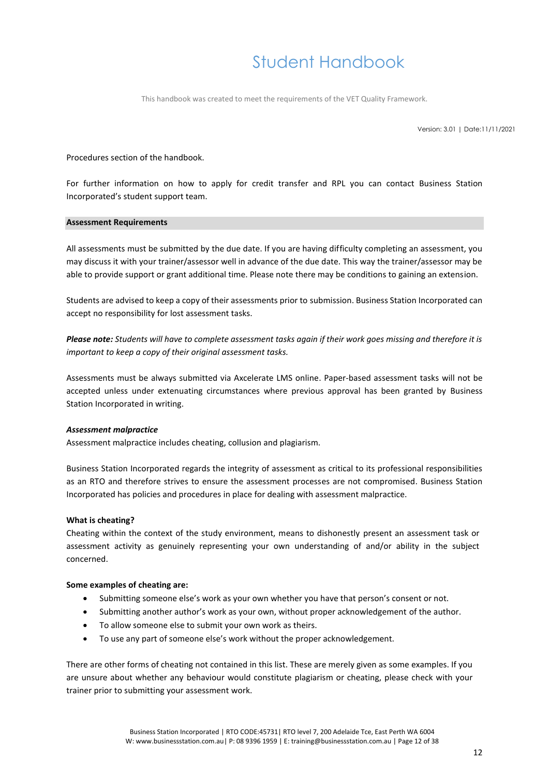This handbook was created to meet the requirements of the VET Quality Framework.

Version: 3.01 | Date:11/11/2021

### Procedures section of the handbook.

For further information on how to apply for credit transfer and RPL you can contact Business Station Incorporated's student support team.

#### <span id="page-11-0"></span>**Assessment Requirements**

All assessments must be submitted by the due date. If you are having difficulty completing an assessment, you may discuss it with your trainer/assessor well in advance of the due date. This way the trainer/assessor may be able to provide support or grant additional time. Please note there may be conditions to gaining an extension.

Students are advised to keep a copy of their assessments prior to submission. Business Station Incorporated can accept no responsibility for lost assessment tasks.

*Please note: Students will have to complete assessment tasks again if their work goes missing and therefore it is important to keep a copy of their original assessment tasks.* 

Assessments must be always submitted via Axcelerate LMS online. Paper-based assessment tasks will not be accepted unless under extenuating circumstances where previous approval has been granted by Business Station Incorporated in writing.

### *Assessment malpractice*

Assessment malpractice includes cheating, collusion and plagiarism.

Business Station Incorporated regards the integrity of assessment as critical to its professional responsibilities as an RTO and therefore strives to ensure the assessment processes are not compromised. Business Station Incorporated has policies and procedures in place for dealing with assessment malpractice.

### **What is cheating?**

Cheating within the context of the study environment, means to dishonestly present an assessment task or assessment activity as genuinely representing your own understanding of and/or ability in the subject concerned.

#### **Some examples of cheating are:**

- Submitting someone else's work as your own whether you have that person's consent or not.
- Submitting another author's work as your own, without proper acknowledgement of the author.
- To allow someone else to submit your own work as theirs.
- To use any part of someone else's work without the proper acknowledgement.

There are other forms of cheating not contained in this list. These are merely given as some examples. If you are unsure about whether any behaviour would constitute plagiarism or cheating, please check with your trainer prior to submitting your assessment work.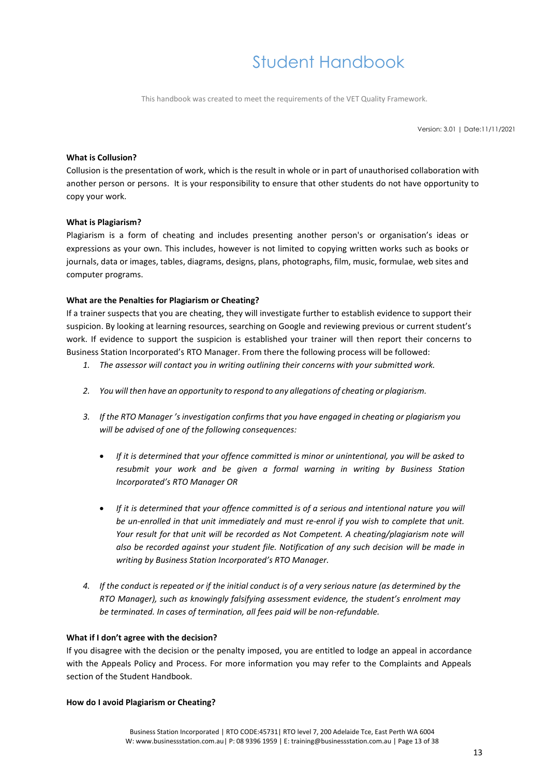This handbook was created to meet the requirements of the VET Quality Framework.

Version: 3.01 | Date:11/11/2021

### **What is Collusion?**

Collusion is the presentation of work, which is the result in whole or in part of unauthorised collaboration with another person or persons. It is your responsibility to ensure that other students do not have opportunity to copy your work.

### **What is Plagiarism?**

Plagiarism is a form of cheating and includes presenting another person's or organisation's ideas or expressions as your own. This includes, however is not limited to copying written works such as books or journals, data or images, tables, diagrams, designs, plans, photographs, film, music, formulae, web sites and computer programs.

### **What are the Penalties for Plagiarism or Cheating?**

If a trainer suspects that you are cheating, they will investigate further to establish evidence to support their suspicion. By looking at learning resources, searching on Google and reviewing previous or current student's work. If evidence to support the suspicion is established your trainer will then report their concerns to Business Station Incorporated's RTO Manager. From there the following process will be followed:

- *1. The assessor will contact you in writing outlining their concerns with your submitted work.*
- *2. You will then have an opportunity to respond to any allegations of cheating or plagiarism.*
- *3. If the RTO Manager 's investigation confirms that you have engaged in cheating or plagiarism you will be advised of one of the following consequences:*
	- *If it is determined that your offence committed is minor or unintentional, you will be asked to resubmit your work and be given a formal warning in writing by Business Station Incorporated's RTO Manager OR*
	- *If it is determined that your offence committed is of a serious and intentional nature you will be un-enrolled in that unit immediately and must re-enrol if you wish to complete that unit. Your result for that unit will be recorded as Not Competent. A cheating/plagiarism note will also be recorded against your student file. Notification of any such decision will be made in writing by Business Station Incorporated's RTO Manager.*
- *4. If the conduct is repeated or if the initial conduct is of a very serious nature (as determined by the RTO Manager), such as knowingly falsifying assessment evidence, the student's enrolment may be terminated. In cases of termination, all fees paid will be non-refundable.*

#### **What if I don't agree with the decision?**

If you disagree with the decision or the penalty imposed, you are entitled to lodge an appeal in accordance with the Appeals Policy and Process. For more information you may refer to the Complaints and Appeals section of the Student Handbook.

#### **How do I avoid Plagiarism or Cheating?**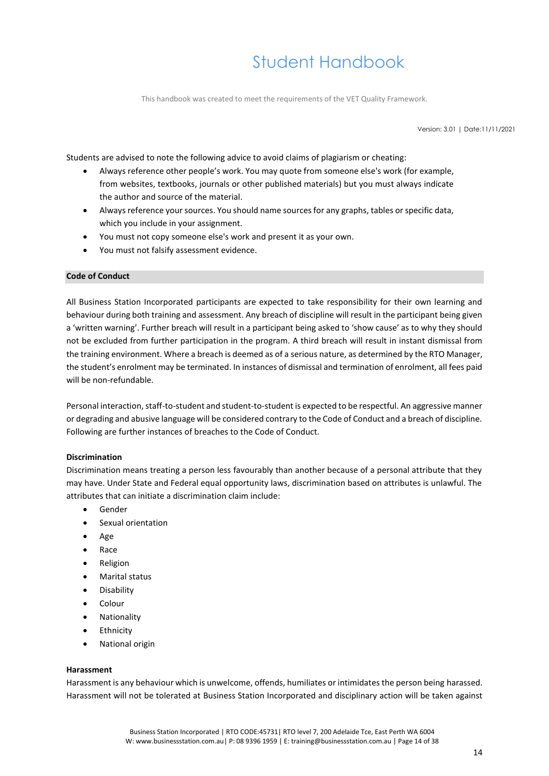This handbook was created to meet the requirements of the VET Quality Framework.

Version: 3.01 | Date:11/11/2021

Students are advised to note the following advice to avoid claims of plagiarism or cheating:

- Always reference other people's work. You may quote from someone else's work (for example, from websites, textbooks, journals or other published materials) but you must always indicate the author and source of the material.
- Always reference your sources. You should name sources for any graphs, tables or specific data, which you include in your assignment.
- You must not copy someone else's work and present it as your own.
- You must not falsify assessment evidence.

#### <span id="page-13-0"></span>**Code of Conduct**

All Business Station Incorporated participants are expected to take responsibility for their own learning and behaviour during both training and assessment. Any breach of discipline will result in the participant being given a 'written warning'. Further breach will result in a participant being asked to 'show cause' as to why they should not be excluded from further participation in the program. A third breach will result in instant dismissal from the training environment. Where a breach is deemed as of a serious nature, as determined by the RTO Manager, the student's enrolment may be terminated. In instances of dismissal and termination of enrolment, all fees paid will be non-refundable.

Personal interaction, staff-to-student and student-to-student is expected to be respectful. An aggressive manner or degrading and abusive language will be considered contrary to the Code of Conduct and a breach of discipline. Following are further instances of breaches to the Code of Conduct.

#### **Discrimination**

Discrimination means treating a person less favourably than another because of a personal attribute that they may have. Under State and Federal equal opportunity laws, discrimination based on attributes is unlawful. The attributes that can initiate a discrimination claim include:

- **Gender**
- Sexual orientation
- Age
- Race
- **Religion**
- Marital status
- **Disability**
- Colour
- Nationality
- **Ethnicity**
- National origin

### **Harassment**

Harassment is any behaviour which is unwelcome, offends, humiliates or intimidates the person being harassed. Harassment will not be tolerated at Business Station Incorporated and disciplinary action will be taken against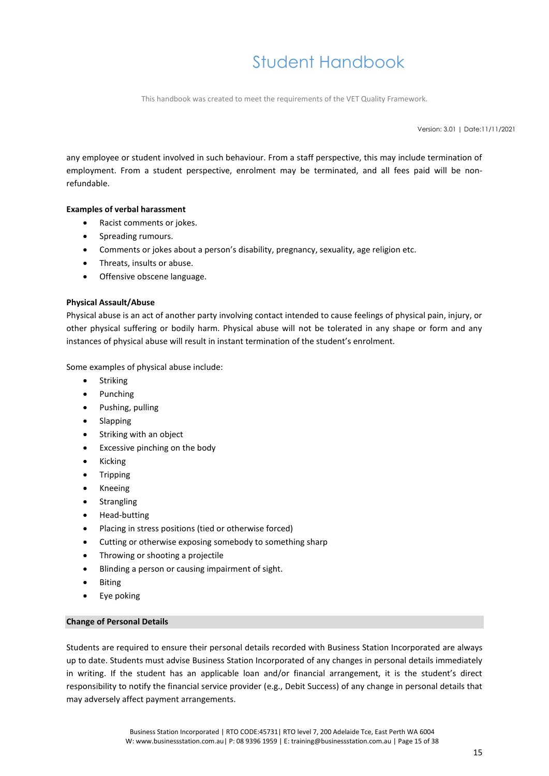This handbook was created to meet the requirements of the VET Quality Framework.

Version: 3.01 | Date:11/11/2021

any employee or student involved in such behaviour. From a staff perspective, this may include termination of employment. From a student perspective, enrolment may be terminated, and all fees paid will be nonrefundable.

### **Examples of verbal harassment**

- Racist comments or jokes.
- Spreading rumours.
- Comments or jokes about a person's disability, pregnancy, sexuality, age religion etc.
- Threats, insults or abuse.
- Offensive obscene language.

### **Physical Assault/Abuse**

Physical abuse is an act of another party involving contact intended to cause feelings of physical pain, injury, or other physical suffering or bodily harm. Physical abuse will not be tolerated in any shape or form and any instances of physical abuse will result in instant termination of the student's enrolment.

Some examples of physical abuse include:

- Striking
- Punching
- Pushing, pulling
- Slapping
- Striking with an object
- Excessive pinching on the body
- Kicking
- Tripping
- Kneeing
- Strangling
- Head-butting
- Placing in stress positions (tied or otherwise forced)
- Cutting or otherwise exposing somebody to something sharp
- Throwing or shooting a projectile
- Blinding a person or causing impairment of sight.
- **Biting**
- Eye poking

### <span id="page-14-0"></span>**Change of Personal Details**

Students are required to ensure their personal details recorded with Business Station Incorporated are always up to date. Students must advise Business Station Incorporated of any changes in personal details immediately in writing. If the student has an applicable loan and/or financial arrangement, it is the student's direct responsibility to notify the financial service provider (e.g., Debit Success) of any change in personal details that may adversely affect payment arrangements.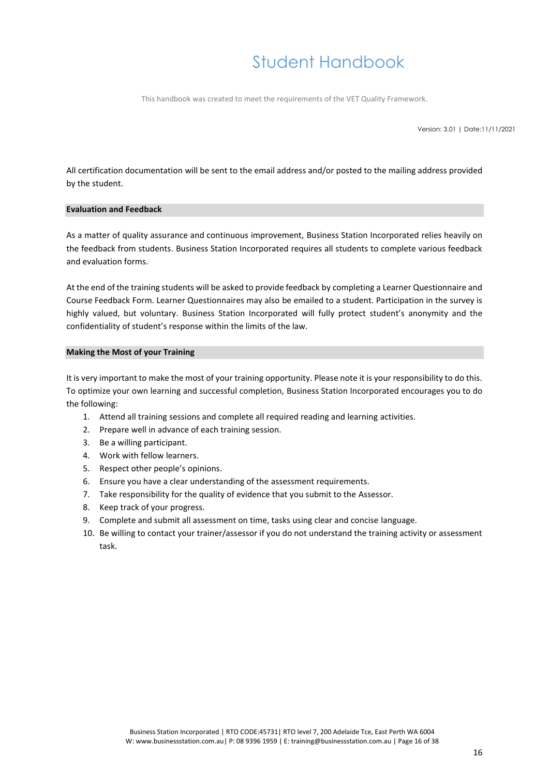This handbook was created to meet the requirements of the VET Quality Framework.

Version: 3.01 | Date:11/11/2021

All certification documentation will be sent to the email address and/or posted to the mailing address provided by the student.

### <span id="page-15-0"></span>**Evaluation and Feedback**

As a matter of quality assurance and continuous improvement, Business Station Incorporated relies heavily on the feedback from students. Business Station Incorporated requires all students to complete various feedback and evaluation forms.

At the end of the training students will be asked to provide feedback by completing a Learner Questionnaire and Course Feedback Form. Learner Questionnaires may also be emailed to a student. Participation in the survey is highly valued, but voluntary. Business Station Incorporated will fully protect student's anonymity and the confidentiality of student's response within the limits of the law.

### <span id="page-15-1"></span>**Making the Most of your Training**

It is very important to make the most of your training opportunity. Please note it is your responsibility to do this. To optimize your own learning and successful completion, Business Station Incorporated encourages you to do the following:

- 1. Attend all training sessions and complete all required reading and learning activities.
- 2. Prepare well in advance of each training session.
- 3. Be a willing participant.
- 4. Work with fellow learners.
- 5. Respect other people's opinions.
- 6. Ensure you have a clear understanding of the assessment requirements.
- 7. Take responsibility for the quality of evidence that you submit to the Assessor.
- 8. Keep track of your progress.
- 9. Complete and submit all assessment on time, tasks using clear and concise language.
- 10. Be willing to contact your trainer/assessor if you do not understand the training activity or assessment task.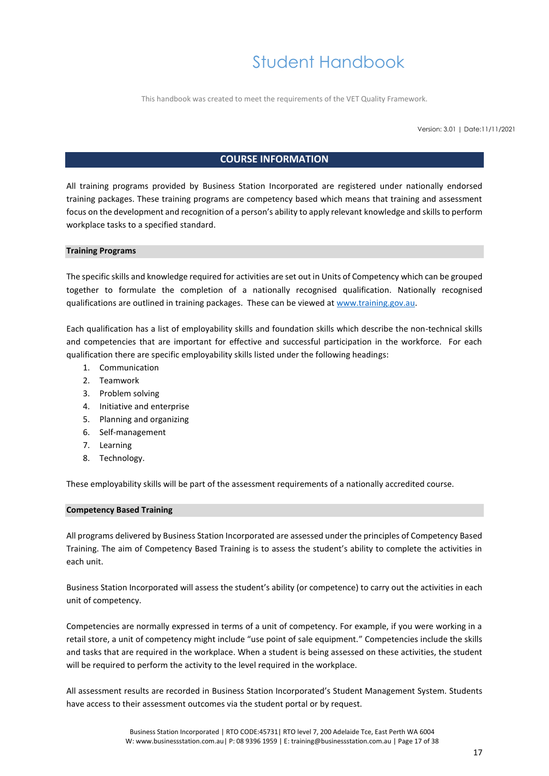This handbook was created to meet the requirements of the VET Quality Framework.

Version: 3.01 | Date:11/11/2021

### **COURSE INFORMATION**

<span id="page-16-0"></span>All training programs provided by Business Station Incorporated are registered under nationally endorsed training packages. These training programs are competency based which means that training and assessment focus on the development and recognition of a person's ability to apply relevant knowledge and skills to perform workplace tasks to a specified standard.

### <span id="page-16-1"></span>**Training Programs**

The specific skills and knowledge required for activities are set out in Units of Competency which can be grouped together to formulate the completion of a nationally recognised qualification. Nationally recognised qualifications are outlined in training packages. These can be viewed at [www.training.gov.au.](http://www.training.gov.au/)

Each qualification has a list of employability skills and foundation skills which describe the non-technical skills and competencies that are important for effective and successful participation in the workforce. For each qualification there are specific employability skills listed under the following headings:

- 1. Communication
- 2. Teamwork
- 3. Problem solving
- 4. Initiative and enterprise
- 5. Planning and organizing
- 6. Self-management
- 7. Learning
- 8. Technology.

These employability skills will be part of the assessment requirements of a nationally accredited course.

#### <span id="page-16-2"></span>**Competency Based Training**

All programs delivered by Business Station Incorporated are assessed under the principles of Competency Based Training. The aim of Competency Based Training is to assess the student's ability to complete the activities in each unit.

Business Station Incorporated will assess the student's ability (or competence) to carry out the activities in each unit of competency.

Competencies are normally expressed in terms of a unit of competency. For example, if you were working in a retail store, a unit of competency might include "use point of sale equipment." Competencies include the skills and tasks that are required in the workplace. When a student is being assessed on these activities, the student will be required to perform the activity to the level required in the workplace.

All assessment results are recorded in Business Station Incorporated's Student Management System. Students have access to their assessment outcomes via the student portal or by request.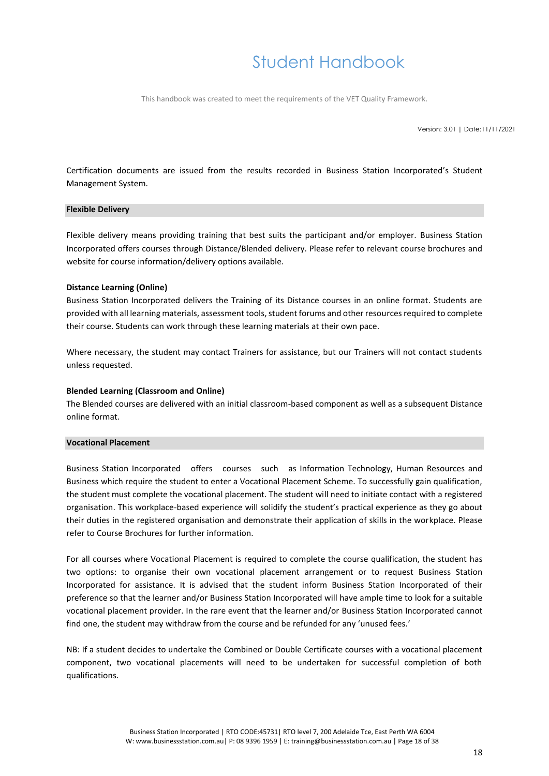This handbook was created to meet the requirements of the VET Quality Framework.

Version: 3.01 | Date:11/11/2021

Certification documents are issued from the results recorded in Business Station Incorporated's Student Management System.

### <span id="page-17-0"></span>**Flexible Delivery**

Flexible delivery means providing training that best suits the participant and/or employer. Business Station Incorporated offers courses through Distance/Blended delivery. Please refer to relevant course brochures and website for course information/delivery options available.

### **Distance Learning (Online)**

Business Station Incorporated delivers the Training of its Distance courses in an online format. Students are provided with all learning materials, assessment tools, student forums and other resources required to complete their course. Students can work through these learning materials at their own pace.

Where necessary, the student may contact Trainers for assistance, but our Trainers will not contact students unless requested.

### **Blended Learning (Classroom and Online)**

The Blended courses are delivered with an initial classroom-based component as well as a subsequent Distance online format.

#### <span id="page-17-1"></span>**Vocational Placement**

Business Station Incorporated offers courses such as Information Technology, Human Resources and Business which require the student to enter a Vocational Placement Scheme. To successfully gain qualification, the student must complete the vocational placement. The student will need to initiate contact with a registered organisation. This workplace-based experience will solidify the student's practical experience as they go about their duties in the registered organisation and demonstrate their application of skills in the workplace. Please refer to Course Brochures for further information.

For all courses where Vocational Placement is required to complete the course qualification, the student has two options: to organise their own vocational placement arrangement or to request Business Station Incorporated for assistance. It is advised that the student inform Business Station Incorporated of their preference so that the learner and/or Business Station Incorporated will have ample time to look for a suitable vocational placement provider. In the rare event that the learner and/or Business Station Incorporated cannot find one, the student may withdraw from the course and be refunded for any 'unused fees.'

NB: If a student decides to undertake the Combined or Double Certificate courses with a vocational placement component, two vocational placements will need to be undertaken for successful completion of both qualifications.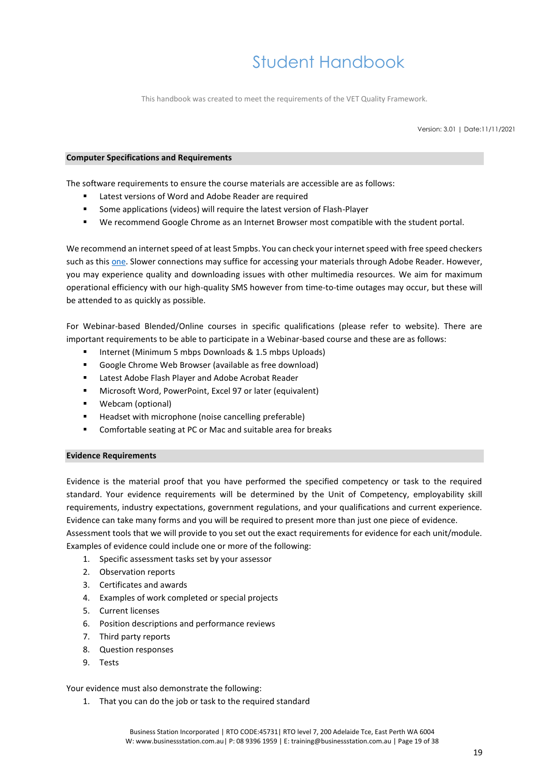This handbook was created to meet the requirements of the VET Quality Framework.

Version: 3.01 | Date:11/11/2021

### <span id="page-18-0"></span>**Computer Specifications and Requirements**

The software requirements to ensure the course materials are accessible are as follows:

- Latest versions of Word and Adobe Reader are required
- Some applications (videos) will require the latest version of Flash-Player
- We recommend Google Chrome as an Internet Browser most compatible with the student portal.

We recommend an internet speed of at least 5mpbs. You can check your internet speed with free speed checkers such as this [one.](https://www.speedtest.net/) Slower connections may suffice for accessing your materials through Adobe Reader. However, you may experience quality and downloading issues with other multimedia resources. We aim for maximum operational efficiency with our high-quality SMS however from time-to-time outages may occur, but these will be attended to as quickly as possible.

For Webinar-based Blended/Online courses in specific qualifications (please refer to website). There are important requirements to be able to participate in a Webinar-based course and these are as follows:

- Internet (Minimum 5 mbps Downloads & 1.5 mbps Uploads)
- Google Chrome Web Browser (available as free download)
- Latest Adobe Flash Player and Adobe Acrobat Reader
- Microsoft Word, PowerPoint, Excel 97 or later (equivalent)
- Webcam (optional)
- Headset with microphone (noise cancelling preferable)
- Comfortable seating at PC or Mac and suitable area for breaks

#### <span id="page-18-1"></span>**Evidence Requirements**

Evidence is the material proof that you have performed the specified competency or task to the required standard. Your evidence requirements will be determined by the Unit of Competency, employability skill requirements, industry expectations, government regulations, and your qualifications and current experience. Evidence can take many forms and you will be required to present more than just one piece of evidence. Assessment tools that we will provide to you set out the exact requirements for evidence for each unit/module.

Examples of evidence could include one or more of the following:

- 1. Specific assessment tasks set by your assessor
- 2. Observation reports
- 3. Certificates and awards
- 4. Examples of work completed or special projects
- 5. Current licenses
- 6. Position descriptions and performance reviews
- 7. Third party reports
- 8. Question responses
- 9. Tests

### Your evidence must also demonstrate the following:

1. That you can do the job or task to the required standard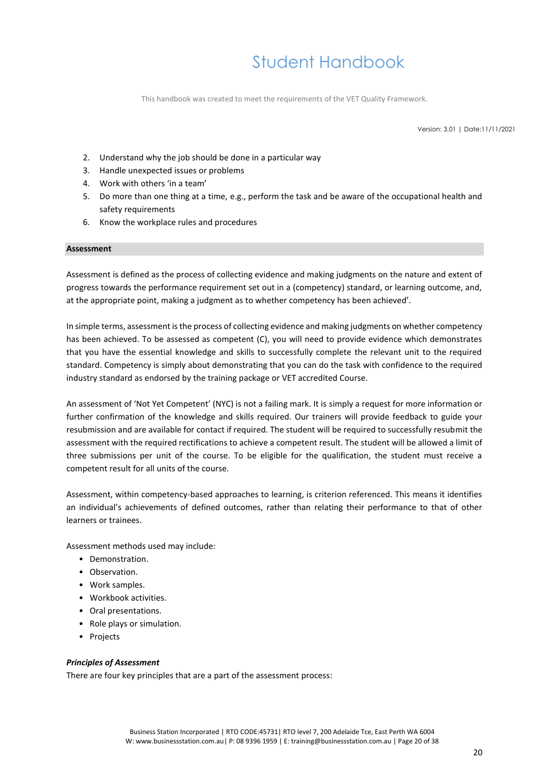This handbook was created to meet the requirements of the VET Quality Framework.

Version: 3.01 | Date:11/11/2021

- 2. Understand why the job should be done in a particular way
- 3. Handle unexpected issues or problems
- 4. Work with others 'in a team'
- 5. Do more than one thing at a time, e.g., perform the task and be aware of the occupational health and safety requirements
- 6. Know the workplace rules and procedures

### <span id="page-19-0"></span>**Assessment**

Assessment is defined as the process of collecting evidence and making judgments on the nature and extent of progress towards the performance requirement set out in a (competency) standard, or learning outcome, and, at the appropriate point, making a judgment as to whether competency has been achieved'.

In simple terms, assessment is the process of collecting evidence and making judgments on whether competency has been achieved. To be assessed as competent (C), you will need to provide evidence which demonstrates that you have the essential knowledge and skills to successfully complete the relevant unit to the required standard. Competency is simply about demonstrating that you can do the task with confidence to the required industry standard as endorsed by the training package or VET accredited Course.

An assessment of 'Not Yet Competent' (NYC) is not a failing mark. It is simply a request for more information or further confirmation of the knowledge and skills required. Our trainers will provide feedback to guide your resubmission and are available for contact if required. The student will be required to successfully resubmit the assessment with the required rectifications to achieve a competent result. The student will be allowed a limit of three submissions per unit of the course. To be eligible for the qualification, the student must receive a competent result for all units of the course.

Assessment, within competency-based approaches to learning, is criterion referenced. This means it identifies an individual's achievements of defined outcomes, rather than relating their performance to that of other learners or trainees.

Assessment methods used may include:

- Demonstration.
- Observation.
- Work samples.
- Workbook activities.
- Oral presentations.
- Role plays or simulation.
- Projects

### <span id="page-19-1"></span>*Principles of Assessment*

There are four key principles that are a part of the assessment process: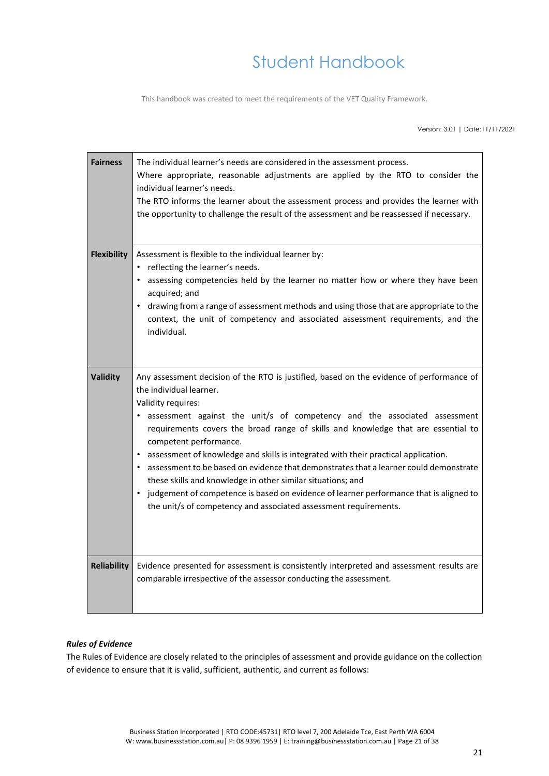This handbook was created to meet the requirements of the VET Quality Framework.

Version: 3.01 | Date:11/11/2021

| <b>Fairness</b>    | The individual learner's needs are considered in the assessment process.<br>Where appropriate, reasonable adjustments are applied by the RTO to consider the<br>individual learner's needs.<br>The RTO informs the learner about the assessment process and provides the learner with<br>the opportunity to challenge the result of the assessment and be reassessed if necessary.                                                                                                                                                                                                                                                                                                                                                                  |
|--------------------|-----------------------------------------------------------------------------------------------------------------------------------------------------------------------------------------------------------------------------------------------------------------------------------------------------------------------------------------------------------------------------------------------------------------------------------------------------------------------------------------------------------------------------------------------------------------------------------------------------------------------------------------------------------------------------------------------------------------------------------------------------|
| <b>Flexibility</b> | Assessment is flexible to the individual learner by:<br>reflecting the learner's needs.<br>• assessing competencies held by the learner no matter how or where they have been<br>acquired; and<br>drawing from a range of assessment methods and using those that are appropriate to the<br>context, the unit of competency and associated assessment requirements, and the<br>individual.                                                                                                                                                                                                                                                                                                                                                          |
| <b>Validity</b>    | Any assessment decision of the RTO is justified, based on the evidence of performance of<br>the individual learner.<br>Validity requires:<br>• assessment against the unit/s of competency and the associated assessment<br>requirements covers the broad range of skills and knowledge that are essential to<br>competent performance.<br>assessment of knowledge and skills is integrated with their practical application.<br>assessment to be based on evidence that demonstrates that a learner could demonstrate<br>these skills and knowledge in other similar situations; and<br>judgement of competence is based on evidence of learner performance that is aligned to<br>the unit/s of competency and associated assessment requirements. |
| <b>Reliability</b> | Evidence presented for assessment is consistently interpreted and assessment results are<br>comparable irrespective of the assessor conducting the assessment.                                                                                                                                                                                                                                                                                                                                                                                                                                                                                                                                                                                      |

### <span id="page-20-0"></span>*Rules of Evidence*

The Rules of Evidence are closely related to the principles of assessment and provide guidance on the collection of evidence to ensure that it is valid, sufficient, authentic, and current as follows: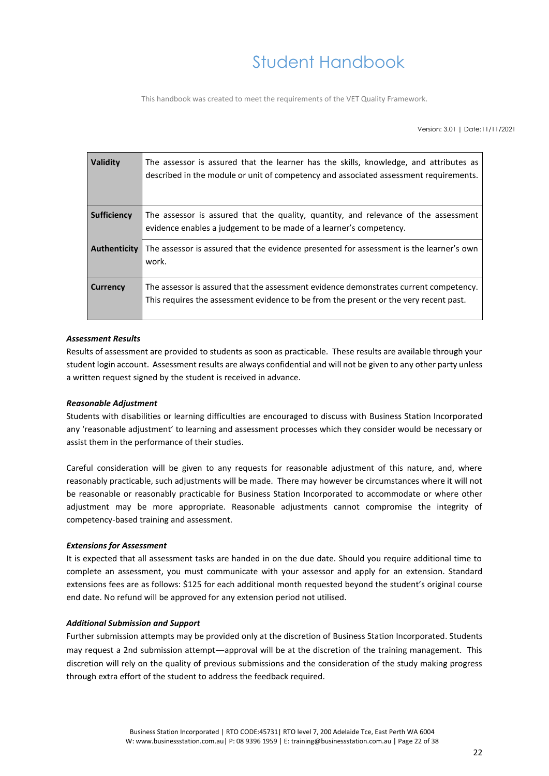This handbook was created to meet the requirements of the VET Quality Framework.

Version: 3.01 | Date:11/11/2021

| Validity            | The assessor is assured that the learner has the skills, knowledge, and attributes as<br>described in the module or unit of competency and associated assessment requirements. |
|---------------------|--------------------------------------------------------------------------------------------------------------------------------------------------------------------------------|
| <b>Sufficiency</b>  | The assessor is assured that the quality, quantity, and relevance of the assessment<br>evidence enables a judgement to be made of a learner's competency.                      |
| <b>Authenticity</b> | The assessor is assured that the evidence presented for assessment is the learner's own<br>work.                                                                               |
| Currency            | The assessor is assured that the assessment evidence demonstrates current competency.<br>This requires the assessment evidence to be from the present or the very recent past. |

### <span id="page-21-0"></span>*Assessment Results*

Results of assessment are provided to students as soon as practicable. These results are available through your student login account. Assessment results are always confidential and will not be given to any other party unless a written request signed by the student is received in advance.

#### <span id="page-21-1"></span>*Reasonable Adjustment*

Students with disabilities or learning difficulties are encouraged to discuss with Business Station Incorporated any 'reasonable adjustment' to learning and assessment processes which they consider would be necessary or assist them in the performance of their studies.

Careful consideration will be given to any requests for reasonable adjustment of this nature, and, where reasonably practicable, such adjustments will be made. There may however be circumstances where it will not be reasonable or reasonably practicable for Business Station Incorporated to accommodate or where other adjustment may be more appropriate. Reasonable adjustments cannot compromise the integrity of competency-based training and assessment.

#### <span id="page-21-2"></span>*Extensions for Assessment*

It is expected that all assessment tasks are handed in on the due date. Should you require additional time to complete an assessment, you must communicate with your assessor and apply for an extension. Standard extensions fees are as follows: \$125 for each additional month requested beyond the student's original course end date. No refund will be approved for any extension period not utilised.

#### <span id="page-21-3"></span>*Additional Submission and Support*

Further submission attempts may be provided only at the discretion of Business Station Incorporated. Students may request a 2nd submission attempt—approval will be at the discretion of the training management. This discretion will rely on the quality of previous submissions and the consideration of the study making progress through extra effort of the student to address the feedback required.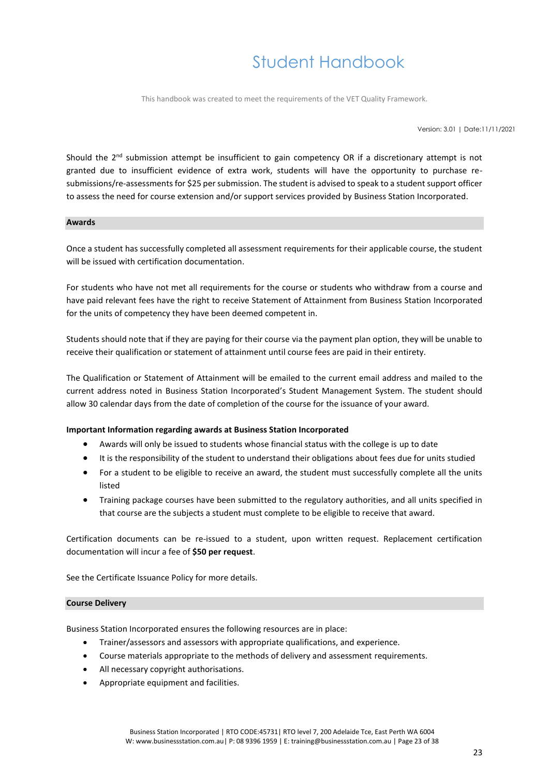This handbook was created to meet the requirements of the VET Quality Framework.

Version: 3.01 | Date:11/11/2021

Should the 2<sup>nd</sup> submission attempt be insufficient to gain competency OR if a discretionary attempt is not granted due to insufficient evidence of extra work, students will have the opportunity to purchase resubmissions/re-assessments for \$25 per submission. The student is advised to speak to a student support officer to assess the need for course extension and/or support services provided by Business Station Incorporated.

#### <span id="page-22-0"></span>**Awards**

Once a student has successfully completed all assessment requirements for their applicable course, the student will be issued with certification documentation.

For students who have not met all requirements for the course or students who withdraw from a course and have paid relevant fees have the right to receive Statement of Attainment from Business Station Incorporated for the units of competency they have been deemed competent in.

Students should note that if they are paying for their course via the payment plan option, they will be unable to receive their qualification or statement of attainment until course fees are paid in their entirety.

The Qualification or Statement of Attainment will be emailed to the current email address and mailed to the current address noted in Business Station Incorporated's Student Management System. The student should allow 30 calendar days from the date of completion of the course for the issuance of your award.

#### **Important Information regarding awards at Business Station Incorporated**

- Awards will only be issued to students whose financial status with the college is up to date
- It is the responsibility of the student to understand their obligations about fees due for units studied
- For a student to be eligible to receive an award, the student must successfully complete all the units listed
- Training package courses have been submitted to the regulatory authorities, and all units specified in that course are the subjects a student must complete to be eligible to receive that award.

Certification documents can be re-issued to a student, upon written request. Replacement certification documentation will incur a fee of **\$50 per request**.

See the Certificate Issuance Policy for more details.

#### <span id="page-22-1"></span>**Course Delivery**

Business Station Incorporated ensures the following resources are in place:

- Trainer/assessors and assessors with appropriate qualifications, and experience.
- Course materials appropriate to the methods of delivery and assessment requirements.
- All necessary copyright authorisations.
- Appropriate equipment and facilities.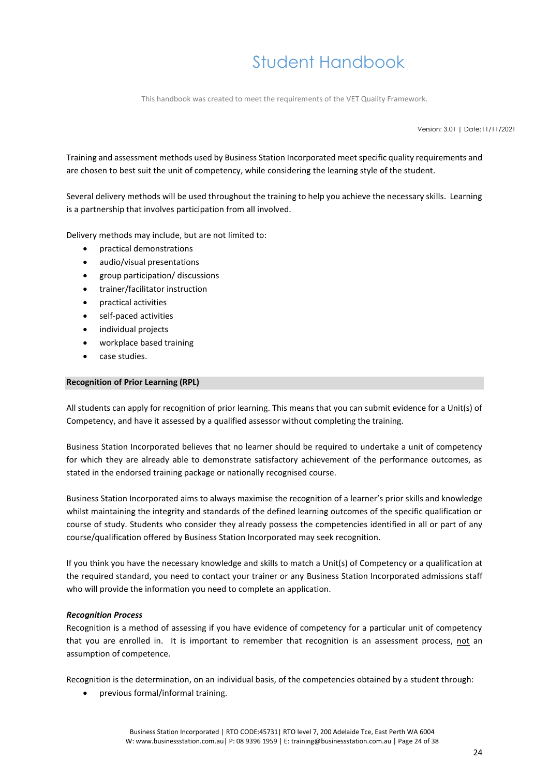This handbook was created to meet the requirements of the VET Quality Framework.

Version: 3.01 | Date:11/11/2021

Training and assessment methods used by Business Station Incorporated meet specific quality requirements and are chosen to best suit the unit of competency, while considering the learning style of the student.

Several delivery methods will be used throughout the training to help you achieve the necessary skills. Learning is a partnership that involves participation from all involved.

Delivery methods may include, but are not limited to:

- practical demonstrations
- audio/visual presentations
- group participation/ discussions
- trainer/facilitator instruction
- practical activities
- self-paced activities
- individual projects
- workplace based training
- case studies.

### <span id="page-23-0"></span>**Recognition of Prior Learning (RPL)**

All students can apply for recognition of prior learning. This means that you can submit evidence for a Unit(s) of Competency, and have it assessed by a qualified assessor without completing the training.

Business Station Incorporated believes that no learner should be required to undertake a unit of competency for which they are already able to demonstrate satisfactory achievement of the performance outcomes, as stated in the endorsed training package or nationally recognised course.

Business Station Incorporated aims to always maximise the recognition of a learner's prior skills and knowledge whilst maintaining the integrity and standards of the defined learning outcomes of the specific qualification or course of study. Students who consider they already possess the competencies identified in all or part of any course/qualification offered by Business Station Incorporated may seek recognition.

If you think you have the necessary knowledge and skills to match a Unit(s) of Competency or a qualification at the required standard, you need to contact your trainer or any Business Station Incorporated admissions staff who will provide the information you need to complete an application.

#### <span id="page-23-1"></span>*Recognition Process*

Recognition is a method of assessing if you have evidence of competency for a particular unit of competency that you are enrolled in. It is important to remember that recognition is an assessment process, not an assumption of competence.

Recognition is the determination, on an individual basis, of the competencies obtained by a student through:

• previous formal/informal training.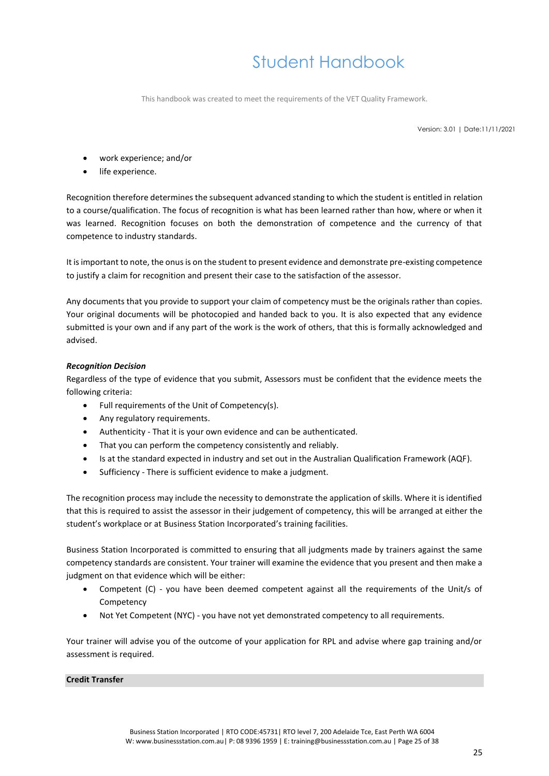This handbook was created to meet the requirements of the VET Quality Framework.

Version: 3.01 | Date:11/11/2021

- work experience; and/or
- life experience.

Recognition therefore determines the subsequent advanced standing to which the student is entitled in relation to a course/qualification. The focus of recognition is what has been learned rather than how, where or when it was learned. Recognition focuses on both the demonstration of competence and the currency of that competence to industry standards.

It is important to note, the onus is on the student to present evidence and demonstrate pre-existing competence to justify a claim for recognition and present their case to the satisfaction of the assessor.

Any documents that you provide to support your claim of competency must be the originals rather than copies. Your original documents will be photocopied and handed back to you. It is also expected that any evidence submitted is your own and if any part of the work is the work of others, that this is formally acknowledged and advised.

### <span id="page-24-0"></span>*Recognition Decision*

Regardless of the type of evidence that you submit, Assessors must be confident that the evidence meets the following criteria:

- Full requirements of the Unit of Competency(s).
- Any regulatory requirements.
- Authenticity That it is your own evidence and can be authenticated.
- That you can perform the competency consistently and reliably.
- Is at the standard expected in industry and set out in the Australian Qualification Framework (AQF).
- Sufficiency There is sufficient evidence to make a judgment.

The recognition process may include the necessity to demonstrate the application of skills. Where it is identified that this is required to assist the assessor in their judgement of competency, this will be arranged at either the student's workplace or at Business Station Incorporated's training facilities.

Business Station Incorporated is committed to ensuring that all judgments made by trainers against the same competency standards are consistent. Your trainer will examine the evidence that you present and then make a judgment on that evidence which will be either:

- Competent (C) you have been deemed competent against all the requirements of the Unit/s of Competency
- Not Yet Competent (NYC) you have not yet demonstrated competency to all requirements.

Your trainer will advise you of the outcome of your application for RPL and advise where gap training and/or assessment is required.

### <span id="page-24-1"></span>**Credit Transfer**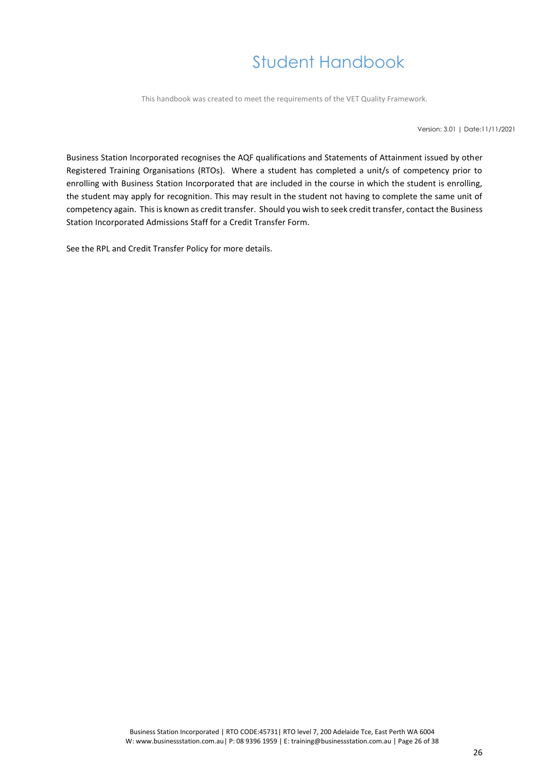This handbook was created to meet the requirements of the VET Quality Framework.

Version: 3.01 | Date:11/11/2021

Business Station Incorporated recognises the AQF qualifications and Statements of Attainment issued by other Registered Training Organisations (RTOs). Where a student has completed a unit/s of competency prior to enrolling with Business Station Incorporated that are included in the course in which the student is enrolling, the student may apply for recognition. This may result in the student not having to complete the same unit of competency again. This is known as credit transfer. Should you wish to seek credit transfer, contact the Business Station Incorporated Admissions Staff for a [Credit Transfer Form.](https://drive.google.com/open?id=0B7A9ioRIH0f9UTJObUx5MFdsWjA)

See the RPL and Credit Transfer Policy for more details.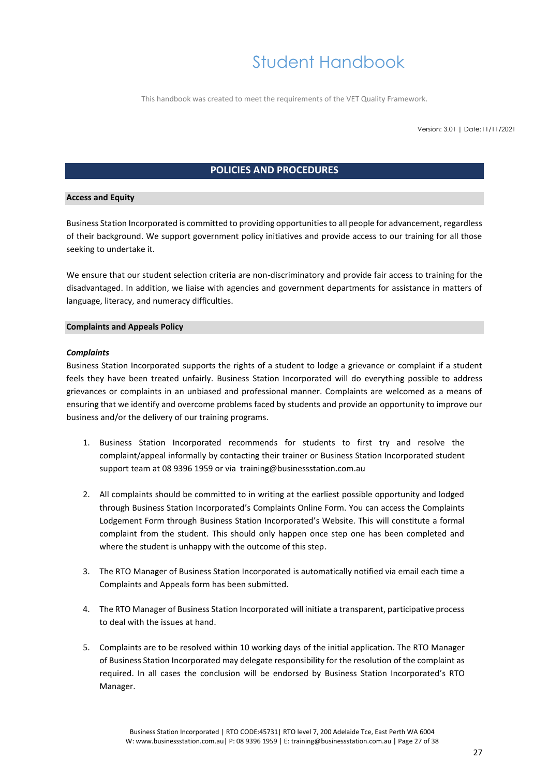This handbook was created to meet the requirements of the VET Quality Framework.

Version: 3.01 | Date:11/11/2021

### **POLICIES AND PROCEDURES**

### <span id="page-26-1"></span><span id="page-26-0"></span>**Access and Equity**

Business Station Incorporated is committed to providing opportunities to all people for advancement, regardless of their background. We support government policy initiatives and provide access to our training for all those seeking to undertake it.

We ensure that our student selection criteria are non-discriminatory and provide fair access to training for the disadvantaged. In addition, we liaise with agencies and government departments for assistance in matters of language, literacy, and numeracy difficulties.

### <span id="page-26-2"></span>**Complaints and Appeals Policy**

### <span id="page-26-3"></span>*Complaints*

Business Station Incorporated supports the rights of a student to lodge a grievance or complaint if a student feels they have been treated unfairly. Business Station Incorporated will do everything possible to address grievances or complaints in an unbiased and professional manner. Complaints are welcomed as a means of ensuring that we identify and overcome problems faced by students and provide an opportunity to improve our business and/or the delivery of our training programs.

- 1. Business Station Incorporated recommends for students to first try and resolve the complaint/appeal informally by contacting their trainer or Business Station Incorporated student support team at 08 9396 1959 or via training@businessstation.com.au
- 2. All complaints should be committed to in writing at the earliest possible opportunity and lodged through Business Station Incorporated's Complaints Online Form. You can access the Complaints Lodgement Form through Business Station Incorporated's Website. This will constitute a formal complaint from the student. This should only happen once step one has been completed and where the student is unhappy with the outcome of this step.
- 3. The RTO Manager of Business Station Incorporated is automatically notified via email each time a Complaints and Appeals form has been submitted.
- 4. The RTO Manager of Business Station Incorporated will initiate a transparent, participative process to deal with the issues at hand.
- 5. Complaints are to be resolved within 10 working days of the initial application. The RTO Manager of Business Station Incorporated may delegate responsibility for the resolution of the complaint as required. In all cases the conclusion will be endorsed by Business Station Incorporated's RTO Manager.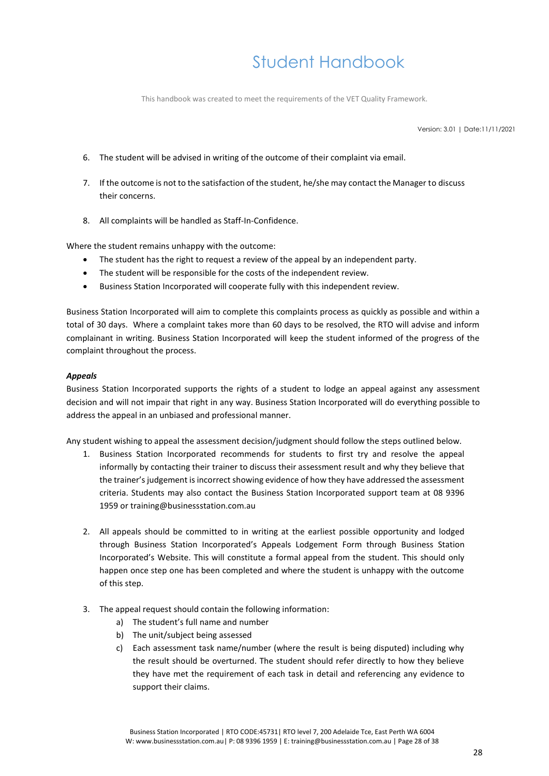This handbook was created to meet the requirements of the VET Quality Framework.

Version: 3.01 | Date:11/11/2021

- 6. The student will be advised in writing of the outcome of their complaint via email.
- 7. If the outcome is not to the satisfaction of the student, he/she may contact the Manager to discuss their concerns.
- 8. All complaints will be handled as Staff-In-Confidence.

Where the student remains unhappy with the outcome:

- The student has the right to request a review of the appeal by an independent party.
- The student will be responsible for the costs of the independent review.
- Business Station Incorporated will cooperate fully with this independent review.

Business Station Incorporated will aim to complete this complaints process as quickly as possible and within a total of 30 days. Where a complaint takes more than 60 days to be resolved, the RTO will advise and inform complainant in writing. Business Station Incorporated will keep the student informed of the progress of the complaint throughout the process.

### <span id="page-27-0"></span>*Appeals*

Business Station Incorporated supports the rights of a student to lodge an appeal against any assessment decision and will not impair that right in any way. Business Station Incorporated will do everything possible to address the appeal in an unbiased and professional manner.

Any student wishing to appeal the assessment decision/judgment should follow the steps outlined below.

- 1. Business Station Incorporated recommends for students to first try and resolve the appeal informally by contacting their trainer to discuss their assessment result and why they believe that the trainer's judgement is incorrect showing evidence of how they have addressed the assessment criteria. Students may also contact the Business Station Incorporated support team at 08 9396 1959 or training@businessstation.com.au
- 2. All appeals should be committed to in writing at the earliest possible opportunity and lodged through Business Station Incorporated's Appeals Lodgement Form through Business Station Incorporated's Website. This will constitute a formal appeal from the student. This should only happen once step one has been completed and where the student is unhappy with the outcome of this step.
- 3. The appeal request should contain the following information:
	- a) The student's full name and number
	- b) The unit/subject being assessed
	- c) Each assessment task name/number (where the result is being disputed) including why the result should be overturned. The student should refer directly to how they believe they have met the requirement of each task in detail and referencing any evidence to support their claims.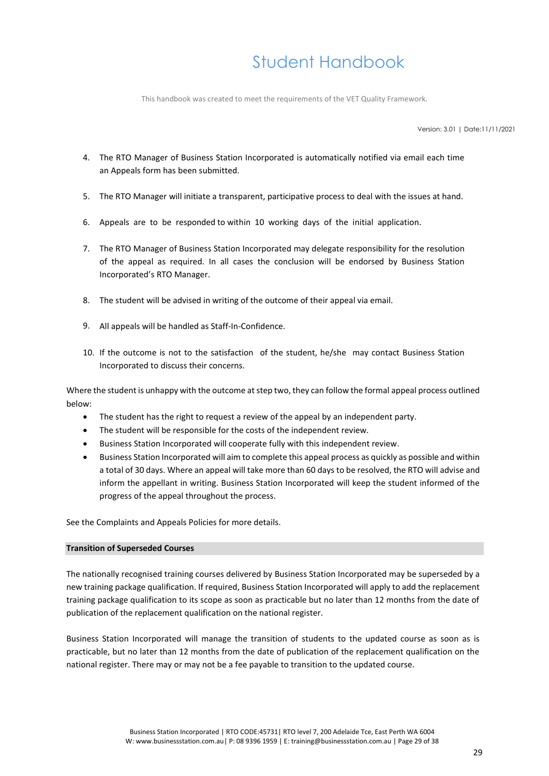This handbook was created to meet the requirements of the VET Quality Framework.

Version: 3.01 | Date:11/11/2021

- 4. The RTO Manager of Business Station Incorporated is automatically notified via email each time an Appeals form has been submitted.
- 5. The RTO Manager will initiate a transparent, participative process to deal with the issues at hand.
- 6. Appeals are to be responded to within 10 working days of the initial application.
- 7. The RTO Manager of Business Station Incorporated may delegate responsibility for the resolution of the appeal as required. In all cases the conclusion will be endorsed by Business Station Incorporated's RTO Manager.
- 8. The student will be advised in writing of the outcome of their appeal via email.
- 9. All appeals will be handled as Staff-In-Confidence.
- 10. If the outcome is not to the satisfaction of the student, he/she may contact Business Station Incorporated to discuss their concerns.

Where the student is unhappy with the outcome at step two, they can follow the formal appeal process outlined below:

- The student has the right to request a review of the appeal by an independent party.
- The student will be responsible for the costs of the independent review.
- Business Station Incorporated will cooperate fully with this independent review.
- Business Station Incorporated will aim to complete this appeal process as quickly as possible and within a total of 30 days. Where an appeal will take more than 60 days to be resolved, the RTO will advise and inform the appellant in writing. Business Station Incorporated will keep the student informed of the progress of the appeal throughout the process.

See the Complaints and Appeals Policies for more details.

### <span id="page-28-0"></span>**Transition of Superseded Courses**

The nationally recognised training courses delivered by Business Station Incorporated may be superseded by a new training package qualification. If required, Business Station Incorporated will apply to add the replacement training package qualification to its scope as soon as practicable but no later than 12 months from the date of publication of the replacement qualification on the national register.

Business Station Incorporated will manage the transition of students to the updated course as soon as is practicable, but no later than 12 months from the date of publication of the replacement qualification on the national register. There may or may not be a fee payable to transition to the updated course.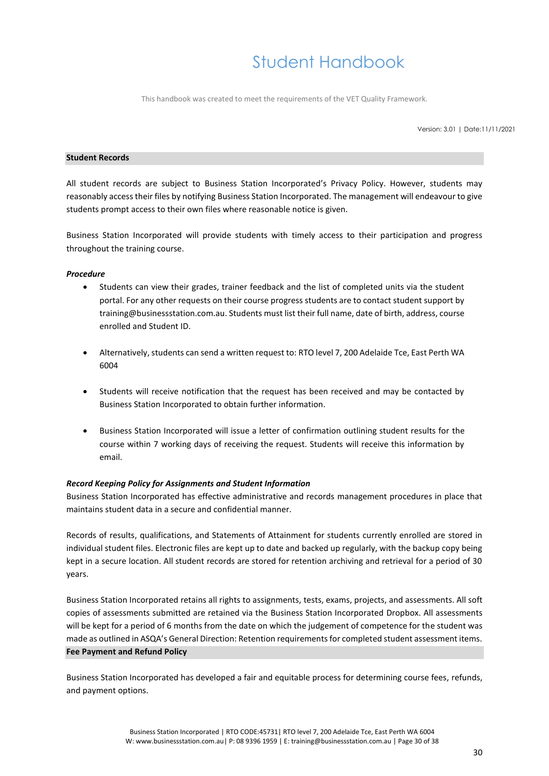This handbook was created to meet the requirements of the VET Quality Framework.

Version: 3.01 | Date:11/11/2021

#### <span id="page-29-0"></span>**Student Records**

All student records are subject to Business Station Incorporated's Privacy Policy. However, students may reasonably access their files by notifying Business Station Incorporated. The management will endeavour to give students prompt access to their own files where reasonable notice is given.

Business Station Incorporated will provide students with timely access to their participation and progress throughout the training course.

### <span id="page-29-1"></span>*Procedure*

- Students can view their grades, trainer feedback and the list of completed units via the student portal. For any other requests on their course progress students are to contact student support by training@businessstation.com.au. Students must list their full name, date of birth, address, course enrolled and Student ID.
- Alternatively, students can send a written request to: RTO level 7, 200 Adelaide Tce, East Perth WA 6004
- Students will receive notification that the request has been received and may be contacted by Business Station Incorporated to obtain further information.
- Business Station Incorporated will issue a letter of confirmation outlining student results for the course within 7 working days of receiving the request. Students will receive this information by email.

### <span id="page-29-2"></span>*Record Keeping Policy for Assignments and Student Information*

Business Station Incorporated has effective administrative and records management procedures in place that maintains student data in a secure and confidential manner.

Records of results, qualifications, and Statements of Attainment for students currently enrolled are stored in individual student files. Electronic files are kept up to date and backed up regularly, with the backup copy being kept in a secure location. All student records are stored for retention archiving and retrieval for a period of 30 years.

Business Station Incorporated retains all rights to assignments, tests, exams, projects, and assessments. All soft copies of assessments submitted are retained via the Business Station Incorporated Dropbox. All assessments will be kept for a period of 6 months from the date on which the judgement of competence for the student was made as outlined in ASQA's General Direction: Retention requirements for completed student assessment items. **Fee Payment and Refund Policy**

<span id="page-29-3"></span>Business Station Incorporated has developed a fair and equitable process for determining course fees, refunds, and payment options.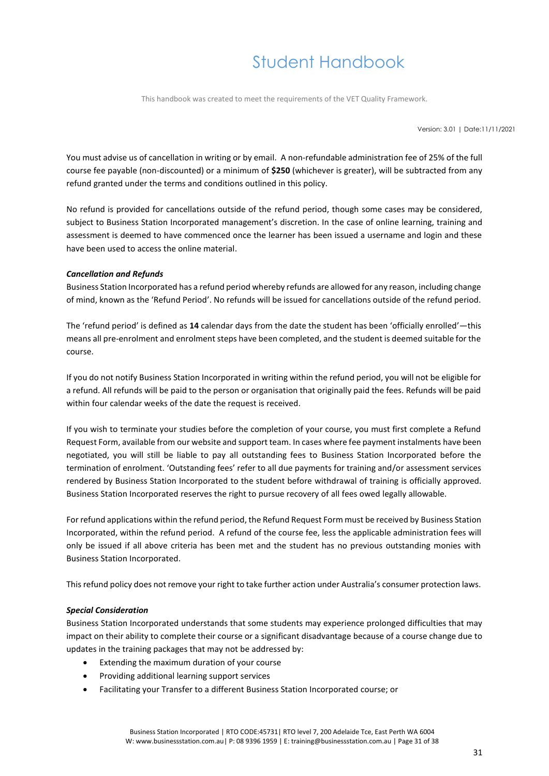This handbook was created to meet the requirements of the VET Quality Framework.

Version: 3.01 | Date:11/11/2021

You must advise us of cancellation in writing or by email. A non-refundable administration fee of 25% of the full course fee payable (non-discounted) or a minimum of **\$250** (whichever is greater), will be subtracted from any refund granted under the terms and conditions outlined in this policy.

No refund is provided for cancellations outside of the refund period, though some cases may be considered, subject to Business Station Incorporated management's discretion. In the case of online learning, training and assessment is deemed to have commenced once the learner has been issued a username and login and these have been used to access the online material.

### <span id="page-30-0"></span>*Cancellation and Refunds*

Business Station Incorporated has a refund period whereby refunds are allowed for any reason, including change of mind, known as the 'Refund Period'. No refunds will be issued for cancellations outside of the refund period.

The 'refund period' is defined as **14** calendar days from the date the student has been 'officially enrolled'—this means all pre-enrolment and enrolment steps have been completed, and the student is deemed suitable for the course.

If you do not notify Business Station Incorporated in writing within the refund period, you will not be eligible for a refund. All refunds will be paid to the person or organisation that originally paid the fees. Refunds will be paid within four calendar weeks of the date the request is received.

If you wish to terminate your studies before the completion of your course, you must first complete a Refund Request Form, available from our website and support team. In cases where fee payment instalments have been negotiated, you will still be liable to pay all outstanding fees to Business Station Incorporated before the termination of enrolment. 'Outstanding fees' refer to all due payments for training and/or assessment services rendered by Business Station Incorporated to the student before withdrawal of training is officially approved. Business Station Incorporated reserves the right to pursue recovery of all fees owed legally allowable.

For refund applications within the refund period, the Refund Request Form must be received by Business Station Incorporated, within the refund period. A refund of the course fee, less the applicable administration fees will only be issued if all above criteria has been met and the student has no previous outstanding monies with Business Station Incorporated.

This refund policy does not remove your right to take further action under Australia's consumer protection laws.

### <span id="page-30-1"></span>*Special Consideration*

Business Station Incorporated understands that some students may experience prolonged difficulties that may impact on their ability to complete their course or a significant disadvantage because of a course change due to updates in the training packages that may not be addressed by:

- Extending the maximum duration of your course
- Providing additional learning support services
- Facilitating your Transfer to a different Business Station Incorporated course; or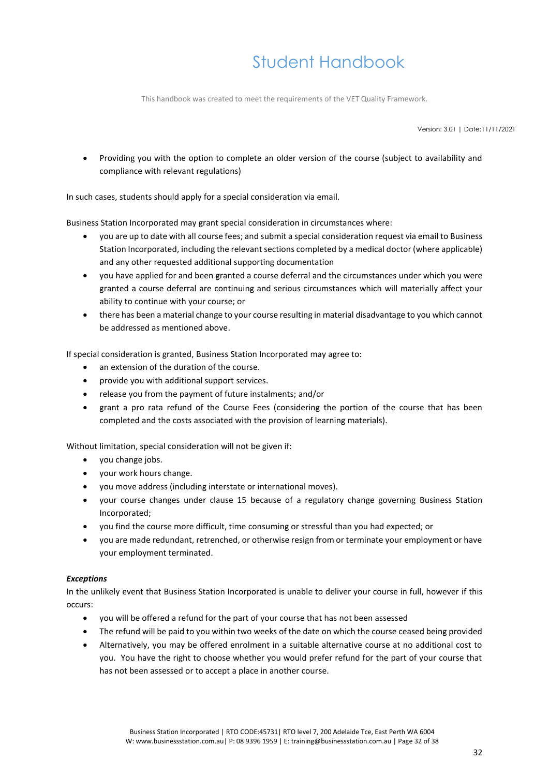This handbook was created to meet the requirements of the VET Quality Framework.

Version: 3.01 | Date:11/11/2021

• Providing you with the option to complete an older version of the course (subject to availability and compliance with relevant regulations)

In such cases, students should apply for a special consideration via email.

Business Station Incorporated may grant special consideration in circumstances where:

- you are up to date with all course fees; and submit a special consideration request via email to Business Station Incorporated, including the relevant sections completed by a medical doctor (where applicable) and any other requested additional supporting documentation
- you have applied for and been granted a course deferral and the circumstances under which you were granted a course deferral are continuing and serious circumstances which will materially affect your ability to continue with your course; or
- there has been a material change to your course resulting in material disadvantage to you which cannot be addressed as mentioned above.

If special consideration is granted, Business Station Incorporated may agree to:

- an extension of the duration of the course.
- provide you with additional support services.
- release you from the payment of future instalments; and/or
- grant a pro rata refund of the Course Fees (considering the portion of the course that has been completed and the costs associated with the provision of learning materials).

Without limitation, special consideration will not be given if:

- you change jobs.
- your work hours change.
- you move address (including interstate or international moves).
- your course changes under clause 15 because of a regulatory change governing Business Station Incorporated;
- you find the course more difficult, time consuming or stressful than you had expected; or
- you are made redundant, retrenched, or otherwise resign from or terminate your employment or have your employment terminated.

### <span id="page-31-0"></span>*Exceptions*

In the unlikely event that Business Station Incorporated is unable to deliver your course in full, however if this occurs:

- you will be offered a refund for the part of your course that has not been assessed
- The refund will be paid to you within two weeks of the date on which the course ceased being provided
- Alternatively, you may be offered enrolment in a suitable alternative course at no additional cost to you. You have the right to choose whether you would prefer refund for the part of your course that has not been assessed or to accept a place in another course.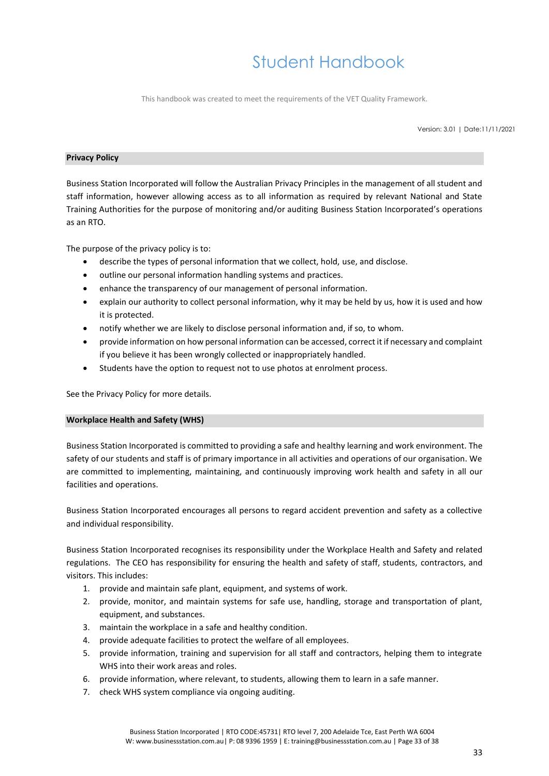This handbook was created to meet the requirements of the VET Quality Framework.

Version: 3.01 | Date:11/11/2021

### <span id="page-32-0"></span>**Privacy Policy**

Business Station Incorporated will follow the Australian Privacy Principles in the management of all student and staff information, however allowing access as to all information as required by relevant National and State Training Authorities for the purpose of monitoring and/or auditing Business Station Incorporated's operations as an RTO.

The purpose of the privacy policy is to:

- describe the types of personal information that we collect, hold, use, and disclose.
- outline our personal information handling systems and practices.
- enhance the transparency of our management of personal information.
- explain our authority to collect personal information, why it may be held by us, how it is used and how it is protected.
- notify whether we are likely to disclose personal information and, if so, to whom.
- provide information on how personal information can be accessed, correct it if necessary and complaint if you believe it has been wrongly collected or inappropriately handled.
- Students have the option to request not to use photos at enrolment process.

See the Privacy Policy for more details.

### <span id="page-32-1"></span>**Workplace Health and Safety (WHS)**

Business Station Incorporated is committed to providing a safe and healthy learning and work environment. The safety of our students and staff is of primary importance in all activities and operations of our organisation. We are committed to implementing, maintaining, and continuously improving work health and safety in all our facilities and operations.

Business Station Incorporated encourages all persons to regard accident prevention and safety as a collective and individual responsibility.

Business Station Incorporated recognises its responsibility under the Workplace Health and Safety and related regulations. The CEO has responsibility for ensuring the health and safety of staff, students, contractors, and visitors. This includes:

- 1. provide and maintain safe plant, equipment, and systems of work.
- 2. provide, monitor, and maintain systems for safe use, handling, storage and transportation of plant, equipment, and substances.
- 3. maintain the workplace in a safe and healthy condition.
- 4. provide adequate facilities to protect the welfare of all employees.
- 5. provide information, training and supervision for all staff and contractors, helping them to integrate WHS into their work areas and roles.
- 6. provide information, where relevant, to students, allowing them to learn in a safe manner.
- 7. check WHS system compliance via ongoing auditing.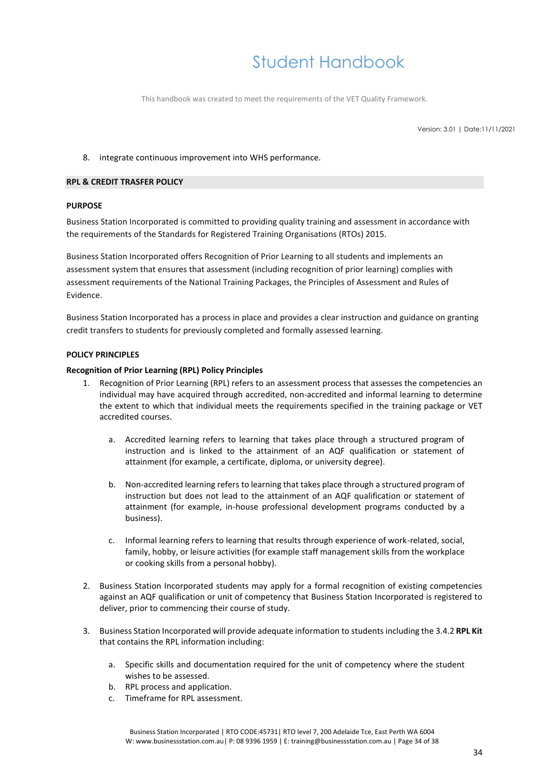This handbook was created to meet the requirements of the VET Quality Framework.

Version: 3.01 | Date:11/11/2021

### 8. integrate continuous improvement into WHS performance.

### **RPL & CREDIT TRASFER POLICY**

### **PURPOSE**

Business Station Incorporated is committed to providing quality training and assessment in accordance with the requirements of the Standards for Registered Training Organisations (RTOs) 2015.

Business Station Incorporated offers Recognition of Prior Learning to all students and implements an assessment system that ensures that assessment (including recognition of prior learning) complies with assessment requirements of the National Training Packages, the Principles of Assessment and Rules of Evidence.

Business Station Incorporated has a process in place and provides a clear instruction and guidance on granting credit transfers to students for previously completed and formally assessed learning.

### **POLICY PRINCIPLES**

### **Recognition of Prior Learning (RPL) Policy Principles**

- 1. Recognition of Prior Learning (RPL) refers to an assessment process that assesses the competencies an individual may have acquired through accredited, non-accredited and informal learning to determine the extent to which that individual meets the requirements specified in the training package or VET accredited courses.
	- a. Accredited learning refers to learning that takes place through a structured program of instruction and is linked to the attainment of an AQF qualification or statement of attainment (for example, a certificate, diploma, or university degree).
	- b. Non-accredited learning refers to learning that takes place through a structured program of instruction but does not lead to the attainment of an AQF qualification or statement of attainment (for example, in-house professional development programs conducted by a business).
	- c. Informal learning refers to learning that results through experience of work-related, social, family, hobby, or leisure activities (for example staff management skills from the workplace or cooking skills from a personal hobby).
- 2. Business Station Incorporated students may apply for a formal recognition of existing competencies against an AQF qualification or unit of competency that Business Station Incorporated is registered to deliver, prior to commencing their course of study.
- 3. Business Station Incorporated will provide adequate information to students including the 3.4.2 **RPL Kit** that contains the RPL information including:
	- a. Specific skills and documentation required for the unit of competency where the student wishes to be assessed.
	- b. RPL process and application.
	- c. Timeframe for RPL assessment.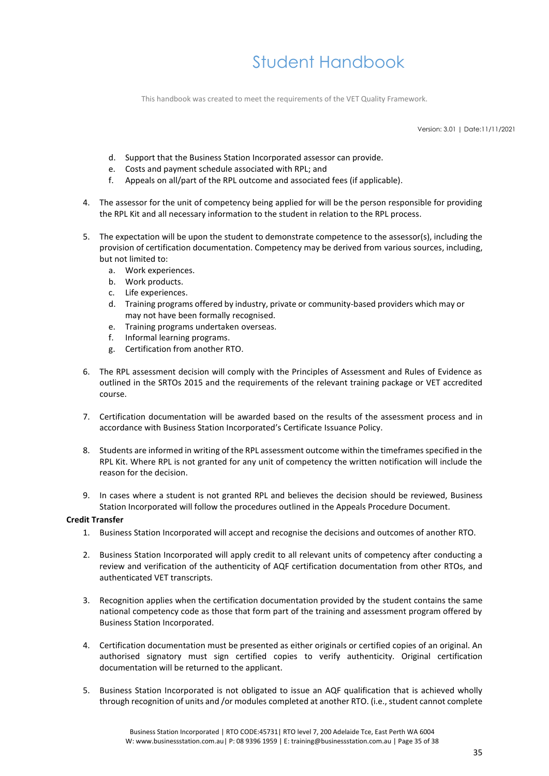This handbook was created to meet the requirements of the VET Quality Framework.

Version: 3.01 | Date:11/11/2021

- d. Support that the Business Station Incorporated assessor can provide.
- e. Costs and payment schedule associated with RPL; and
- f. Appeals on all/part of the RPL outcome and associated fees (if applicable).
- 4. The assessor for the unit of competency being applied for will be the person responsible for providing the RPL Kit and all necessary information to the student in relation to the RPL process.
- 5. The expectation will be upon the student to demonstrate competence to the assessor(s), including the provision of certification documentation. Competency may be derived from various sources, including, but not limited to:
	- a. Work experiences.
	- b. Work products.
	- c. Life experiences.
	- d. Training programs offered by industry, private or community-based providers which may or may not have been formally recognised.
	- e. Training programs undertaken overseas.
	- f. Informal learning programs.
	- g. Certification from another RTO.
- 6. The RPL assessment decision will comply with the Principles of Assessment and Rules of Evidence as outlined in the SRTOs 2015 and the requirements of the relevant training package or VET accredited course.
- 7. Certification documentation will be awarded based on the results of the assessment process and in accordance with Business Station Incorporated's Certificate Issuance Policy.
- 8. Students are informed in writing of the RPL assessment outcome within the timeframes specified in the RPL Kit. Where RPL is not granted for any unit of competency the written notification will include the reason for the decision.
- 9. In cases where a student is not granted RPL and believes the decision should be reviewed, Business Station Incorporated will follow the procedures outlined in the Appeals Procedure Document.

### **Credit Transfer**

- 1. Business Station Incorporated will accept and recognise the decisions and outcomes of another RTO.
- 2. Business Station Incorporated will apply credit to all relevant units of competency after conducting a review and verification of the authenticity of AQF certification documentation from other RTOs, and authenticated VET transcripts.
- 3. Recognition applies when the certification documentation provided by the student contains the same national competency code as those that form part of the training and assessment program offered by Business Station Incorporated.
- 4. Certification documentation must be presented as either originals or certified copies of an original. An authorised signatory must sign certified copies to verify authenticity. Original certification documentation will be returned to the applicant.
- 5. Business Station Incorporated is not obligated to issue an AQF qualification that is achieved wholly through recognition of units and /or modules completed at another RTO. (i.e., student cannot complete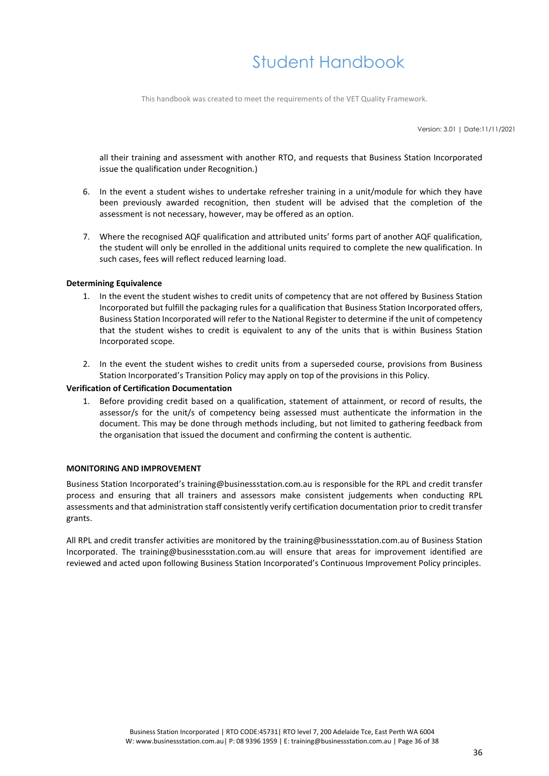This handbook was created to meet the requirements of the VET Quality Framework.

Version: 3.01 | Date:11/11/2021

all their training and assessment with another RTO, and requests that Business Station Incorporated issue the qualification under Recognition.)

- 6. In the event a student wishes to undertake refresher training in a unit/module for which they have been previously awarded recognition, then student will be advised that the completion of the assessment is not necessary, however, may be offered as an option.
- 7. Where the recognised AQF qualification and attributed units' forms part of another AQF qualification, the student will only be enrolled in the additional units required to complete the new qualification. In such cases, fees will reflect reduced learning load.

#### **Determining Equivalence**

- 1. In the event the student wishes to credit units of competency that are not offered by Business Station Incorporated but fulfill the packaging rules for a qualification that Business Station Incorporated offers, Business Station Incorporated will refer to the National Register to determine if the unit of competency that the student wishes to credit is equivalent to any of the units that is within Business Station Incorporated scope.
- 2. In the event the student wishes to credit units from a superseded course, provisions from Business Station Incorporated's Transition Policy may apply on top of the provisions in this Policy.

#### **Verification of Certification Documentation**

1. Before providing credit based on a qualification, statement of attainment, or record of results, the assessor/s for the unit/s of competency being assessed must authenticate the information in the document. This may be done through methods including, but not limited to gathering feedback from the organisation that issued the document and confirming the content is authentic.

#### **MONITORING AND IMPROVEMENT**

Business Station Incorporated's training@businessstation.com.au is responsible for the RPL and credit transfer process and ensuring that all trainers and assessors make consistent judgements when conducting RPL assessments and that administration staff consistently verify certification documentation prior to credit transfer grants.

All RPL and credit transfer activities are monitored by the training@businessstation.com.au of Business Station Incorporated. The training@businessstation.com.au will ensure that areas for improvement identified are reviewed and acted upon following Business Station Incorporated's Continuous Improvement Policy principles.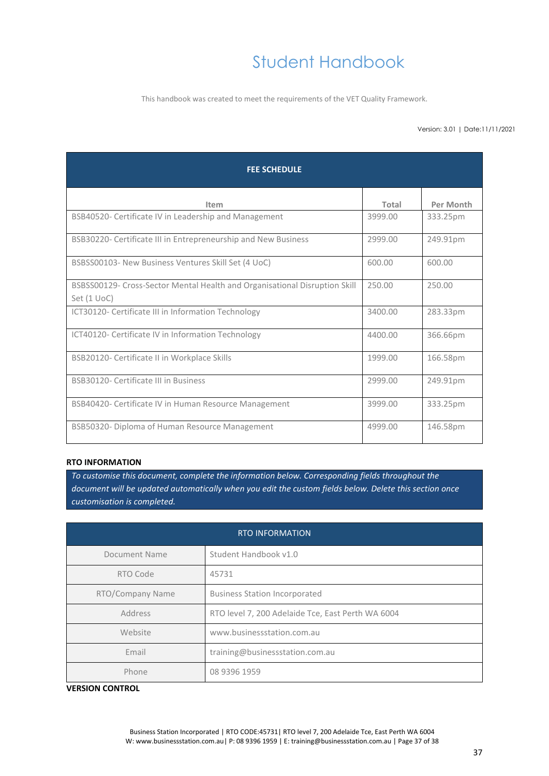This handbook was created to meet the requirements of the VET Quality Framework.

#### Version: 3.01 | Date:11/11/2021

| <b>FEE SCHEDULE</b>                                                                       |         |           |  |
|-------------------------------------------------------------------------------------------|---------|-----------|--|
| Item                                                                                      | Total   | Per Month |  |
| BSB40520- Certificate IV in Leadership and Management                                     | 3999.00 | 333.25pm  |  |
| BSB30220- Certificate III in Entrepreneurship and New Business                            | 2999.00 | 249.91pm  |  |
| BSBSS00103- New Business Ventures Skill Set (4 UoC)                                       | 600.00  | 600.00    |  |
| BSBSS00129- Cross-Sector Mental Health and Organisational Disruption Skill<br>Set (1 UoC) | 250.00  | 250.00    |  |
| ICT30120- Certificate III in Information Technology                                       | 3400.00 | 283.33pm  |  |
| ICT40120- Certificate IV in Information Technology                                        | 4400.00 | 366.66pm  |  |
| BSB20120- Certificate II in Workplace Skills                                              | 1999.00 | 166.58pm  |  |
| BSB30120- Certificate III in Business                                                     | 2999.00 | 249.91pm  |  |
| BSB40420- Certificate IV in Human Resource Management                                     | 3999.00 | 333.25pm  |  |
| BSB50320- Diploma of Human Resource Management                                            | 4999.00 | 146.58pm  |  |

### **RTO INFORMATION**

*To customise this document, complete the information below. Corresponding fields throughout the document will be updated automatically when you edit the custom fields below. Delete this section once customisation is completed.*

| <b>RTO INFORMATION</b> |                                                   |  |  |
|------------------------|---------------------------------------------------|--|--|
| Document Name          | Student Handbook v1.0                             |  |  |
| RTO Code               | 45731                                             |  |  |
| RTO/Company Name       | <b>Business Station Incorporated</b>              |  |  |
| Address                | RTO level 7, 200 Adelaide Tce, East Perth WA 6004 |  |  |
| Website                | www.businessstation.com.au                        |  |  |
| Email                  | training@businessstation.com.au                   |  |  |
| Phone                  | 08 9396 1959                                      |  |  |

### **VERSION CONTROL**